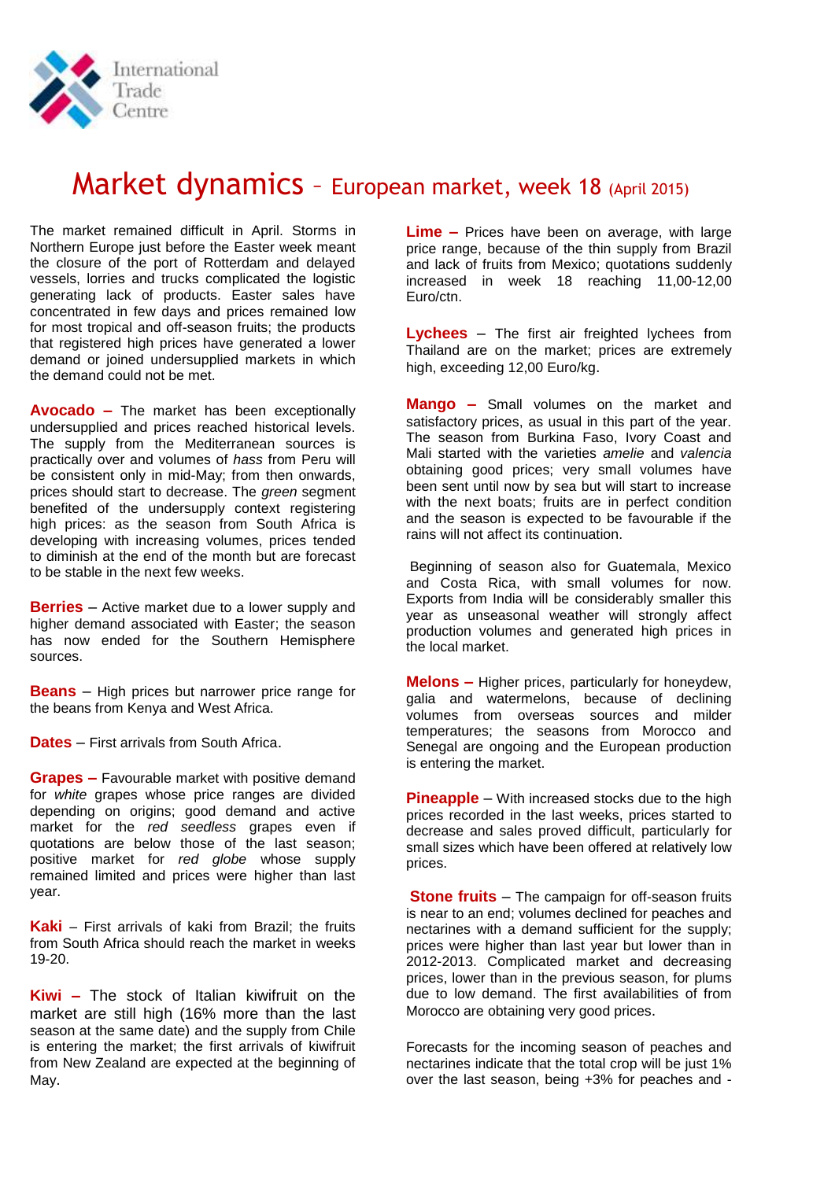

# Market dynamics - European market, week 18 (April 2015)

The market remained difficult in April. Storms in Northern Europe just before the Easter week meant the closure of the port of Rotterdam and delayed vessels, lorries and trucks complicated the logistic generating lack of products. Easter sales have concentrated in few days and prices remained low for most tropical and off-season fruits; the products that registered high prices have generated a lower demand or joined undersupplied markets in which the demand could not be met.

**Avocado –** The market has been exceptionally undersupplied and prices reached historical levels. The supply from the Mediterranean sources is practically over and volumes of *hass* from Peru will be consistent only in mid-May; from then onwards, prices should start to decrease. The *green* segment benefited of the undersupply context registering high prices: as the season from South Africa is developing with increasing volumes, prices tended to diminish at the end of the month but are forecast to be stable in the next few weeks.

**Berries** – Active market due to a lower supply and higher demand associated with Easter; the season has now ended for the Southern Hemisphere sources.

**Beans** – High prices but narrower price range for the beans from Kenya and West Africa.

**Dates** – First arrivals from South Africa.

**Grapes –** Favourable market with positive demand for *white* grapes whose price ranges are divided depending on origins; good demand and active market for the *red seedless* grapes even if quotations are below those of the last season; positive market for *red globe* whose supply remained limited and prices were higher than last year.

**Kaki** – First arrivals of kaki from Brazil; the fruits from South Africa should reach the market in weeks 19-20.

**Kiwi –** The stock of Italian kiwifruit on the market are still high (16% more than the last season at the same date) and the supply from Chile is entering the market; the first arrivals of kiwifruit from New Zealand are expected at the beginning of May.

**Lime –** Prices have been on average, with large price range, because of the thin supply from Brazil and lack of fruits from Mexico; quotations suddenly increased in week 18 reaching 11,00-12,00 Euro/ctn.

**Lychees** – The first air freighted lychees from Thailand are on the market; prices are extremely high, exceeding 12,00 Euro/kg.

**Mango –** Small volumes on the market and satisfactory prices, as usual in this part of the year. The season from Burkina Faso, Ivory Coast and Mali started with the varieties *amelie* and *valencia* obtaining good prices; very small volumes have been sent until now by sea but will start to increase with the next boats: fruits are in perfect condition and the season is expected to be favourable if the rains will not affect its continuation.

Beginning of season also for Guatemala, Mexico and Costa Rica, with small volumes for now. Exports from India will be considerably smaller this year as unseasonal weather will strongly affect production volumes and generated high prices in the local market.

**Melons –** Higher prices, particularly for honeydew, galia and watermelons, because of declining volumes from overseas sources and milder temperatures; the seasons from Morocco and Senegal are ongoing and the European production is entering the market.

**Pineapple** – With increased stocks due to the high prices recorded in the last weeks, prices started to decrease and sales proved difficult, particularly for small sizes which have been offered at relatively low prices.

**Stone fruits** – The campaign for off-season fruits is near to an end; volumes declined for peaches and nectarines with a demand sufficient for the supply; prices were higher than last year but lower than in 2012-2013. Complicated market and decreasing prices, lower than in the previous season, for plums due to low demand. The first availabilities of from Morocco are obtaining very good prices.

Forecasts for the incoming season of peaches and nectarines indicate that the total crop will be just 1% over the last season, being +3% for peaches and -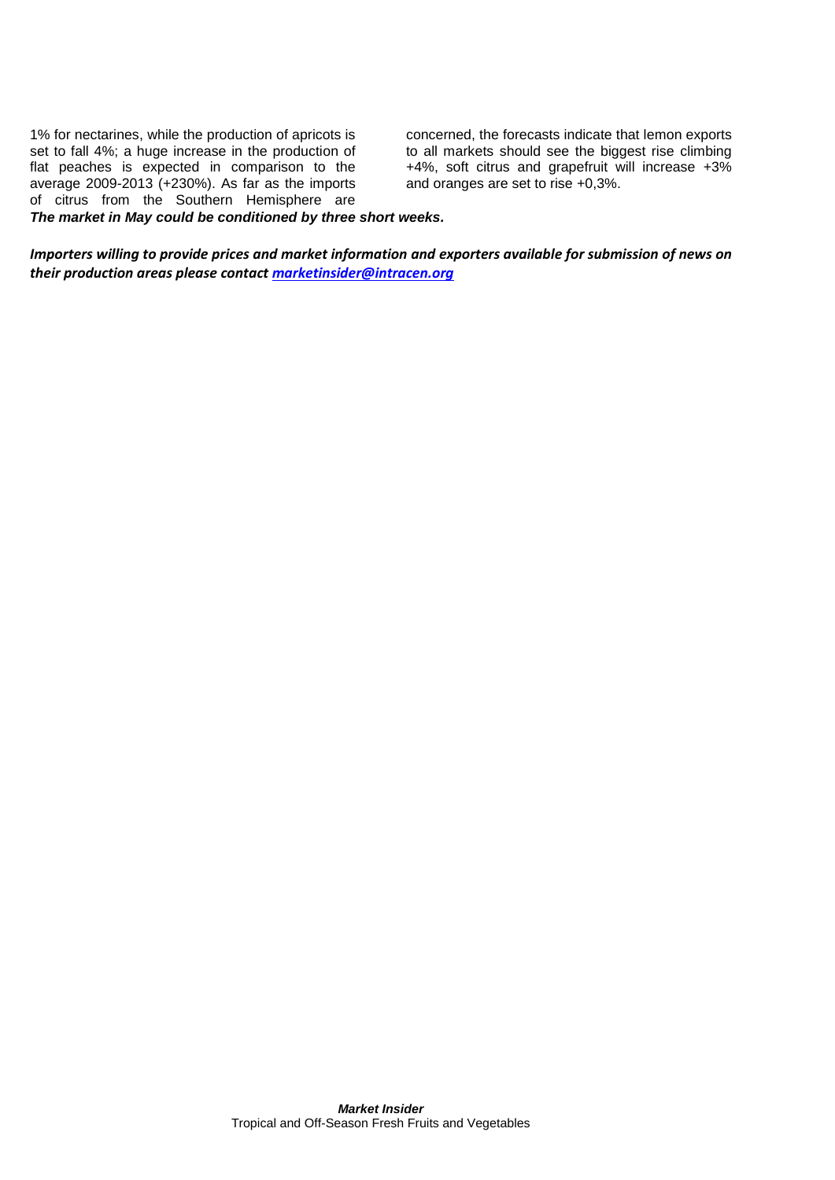1% for nectarines, while the production of apricots is set to fall 4%; a huge increase in the production of flat peaches is expected in comparison to the average 2009-2013 (+230%). As far as the imports of citrus from the Southern Hemisphere are *The market in May could be conditioned by three short weeks.*

concerned, the forecasts indicate that lemon exports to all markets should see the biggest rise climbing +4%, soft citrus and grapefruit will increase +3% and oranges are set to rise +0,3%.

*Importers willing to provide prices and market information and exporters available for submission of news on their production areas please contact [marketinsider@intracen.org](mailto:marketinsider@intracen.org)*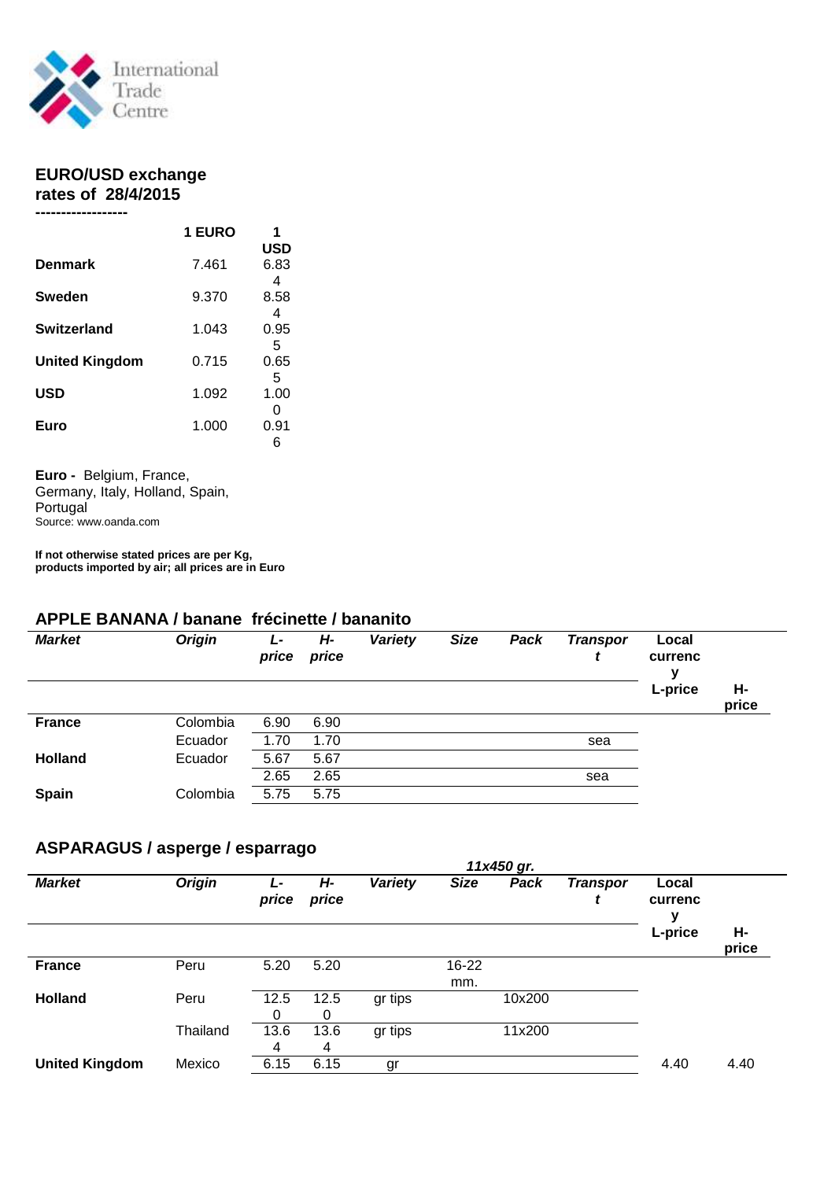

#### **EURO/USD exchange rates of 28/4/2015**

|                       | <b>1 EURO</b> |            |
|-----------------------|---------------|------------|
|                       |               | <b>USD</b> |
| <b>Denmark</b>        | 7.461         | 6.83       |
|                       |               | 4          |
| Sweden                | 9.370         | 8.58       |
|                       |               | 4          |
| <b>Switzerland</b>    | 1.043         | 0.95       |
|                       |               | 5          |
| <b>United Kingdom</b> | 0.715         | 0.65       |
|                       |               | 5          |
| <b>USD</b>            | 1.092         | 1.00       |
|                       |               | O          |
| Euro                  | 1.000         | 0.91       |
|                       |               | 6          |

**Euro -** Belgium, France, Germany, Italy, Holland, Spain, Portugal Source: www.oanda.com

**If not otherwise stated prices are per Kg, products imported by air; all prices are in Euro** 

#### **APPLE BANANA / banane frécinette / bananito**

| <b>Market</b>  | <b>Origin</b> | Ŀ<br>price | Н-<br>price | Variety | <b>Size</b> | Pack | <b>Transpor</b> | Local<br>currenc<br>v |             |
|----------------|---------------|------------|-------------|---------|-------------|------|-----------------|-----------------------|-------------|
|                |               |            |             |         |             |      |                 | L-price               | Н-<br>price |
| <b>France</b>  | Colombia      | 6.90       | 6.90        |         |             |      |                 |                       |             |
|                | Ecuador       | 1.70       | 1.70        |         |             |      | sea             |                       |             |
| <b>Holland</b> | Ecuador       | 5.67       | 5.67        |         |             |      |                 |                       |             |
|                |               | 2.65       | 2.65        |         |             |      | sea             |                       |             |
| <b>Spain</b>   | Colombia      | 5.75       | 5.75        |         |             |      |                 |                       |             |

# **ASPARAGUS / asperge / esparrago**

|                       | 11x450 gr.    |            |             |                |              |        |                      |                  |             |  |  |  |
|-----------------------|---------------|------------|-------------|----------------|--------------|--------|----------------------|------------------|-------------|--|--|--|
| <b>Market</b>         | <b>Origin</b> | Ŀ<br>price | Н-<br>price | <b>Variety</b> | <b>Size</b>  | Pack   | <b>Transpor</b><br>t | Local<br>currenc |             |  |  |  |
|                       |               |            |             |                |              |        |                      | L-price          | Н-<br>price |  |  |  |
| <b>France</b>         | Peru          | 5.20       | 5.20        |                | 16-22<br>mm. |        |                      |                  |             |  |  |  |
| <b>Holland</b>        | Peru          | 12.5<br>0  | 12.5<br>0   | gr tips        |              | 10x200 |                      |                  |             |  |  |  |
|                       | Thailand      | 13.6<br>4  | 13.6<br>4   | gr tips        |              | 11x200 |                      |                  |             |  |  |  |
| <b>United Kingdom</b> | Mexico        | 6.15       | 6.15        | gr             |              |        |                      | 4.40             | 4.40        |  |  |  |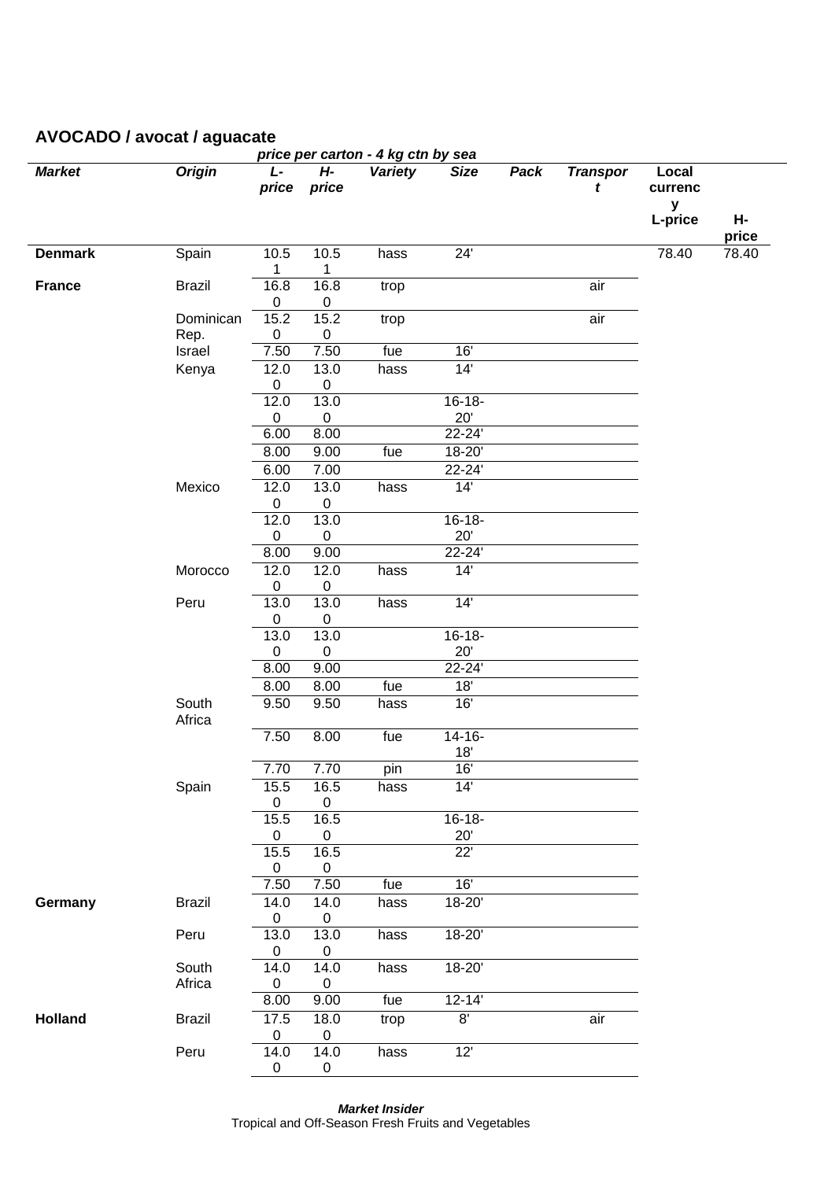| price per carton - 4 kg ctn by sea |                 |                     |                   |                   |                    |      |                      |                                  |                |  |  |
|------------------------------------|-----------------|---------------------|-------------------|-------------------|--------------------|------|----------------------|----------------------------------|----------------|--|--|
| <b>Market</b>                      | <b>Origin</b>   | L-<br>price         | H-<br>price       | <b>Variety</b>    | <b>Size</b>        | Pack | <b>Transpor</b><br>t | Local<br>currenc<br>y<br>L-price | Н-             |  |  |
| <b>Denmark</b>                     | Spain           | 10.5                | 10.5              | hass              | 24'                |      |                      | 78.40                            | price<br>78.40 |  |  |
|                                    |                 | 1                   | 1                 |                   |                    |      |                      |                                  |                |  |  |
| <b>France</b>                      | <b>Brazil</b>   | 16.8<br>$\mathbf 0$ | 16.8<br>$\pmb{0}$ | trop              |                    |      | air                  |                                  |                |  |  |
|                                    | Dominican       | 15.2                | 15.2              | trop              |                    |      | air                  |                                  |                |  |  |
|                                    | Rep.            | $\pmb{0}$           | $\pmb{0}$         |                   |                    |      |                      |                                  |                |  |  |
|                                    | Israel          | 7.50                | 7.50              | $\overline{f}$ ue | 16'                |      |                      |                                  |                |  |  |
|                                    | Kenya           | 12.0<br>$\pmb{0}$   | 13.0<br>$\pmb{0}$ | hass              | 14'                |      |                      |                                  |                |  |  |
|                                    |                 | 12.0                | 13.0              |                   | $16 - 18 -$        |      |                      |                                  |                |  |  |
|                                    |                 | $\pmb{0}$           | $\pmb{0}$         |                   | 20'                |      |                      |                                  |                |  |  |
|                                    |                 | 6.00                | 8.00              |                   | 22-24'             |      |                      |                                  |                |  |  |
|                                    |                 | 8.00                | 9.00              | fue               | 18-20'             |      |                      |                                  |                |  |  |
|                                    |                 | 6.00                | 7.00              |                   | 22-24'             |      |                      |                                  |                |  |  |
|                                    | Mexico          | 12.0<br>$\mathbf 0$ | 13.0<br>$\pmb{0}$ | hass              | 14'                |      |                      |                                  |                |  |  |
|                                    |                 | 12.0                | 13.0              |                   | $16 - 18 -$        |      |                      |                                  |                |  |  |
|                                    |                 | 0                   | $\pmb{0}$         |                   | 20'                |      |                      |                                  |                |  |  |
|                                    |                 | 8.00                | 9.00              |                   | 22-24'             |      |                      |                                  |                |  |  |
|                                    | Morocco         | 12.0<br>0           | 12.0<br>$\pmb{0}$ | hass              | 14'                |      |                      |                                  |                |  |  |
|                                    | Peru            | 13.0<br>0           | 13.0<br>$\pmb{0}$ | hass              | 14'                |      |                      |                                  |                |  |  |
|                                    |                 | 13.0                | 13.0              |                   | $16 - 18 -$        |      |                      |                                  |                |  |  |
|                                    |                 | $\mathbf 0$         | $\pmb{0}$         |                   | 20'                |      |                      |                                  |                |  |  |
|                                    |                 | 8.00                | 9.00              |                   | 22-24'             |      |                      |                                  |                |  |  |
|                                    |                 | 8.00                | 8.00              | fue               | 18'                |      |                      |                                  |                |  |  |
|                                    | South<br>Africa | 9.50                | 9.50              | hass              | 16'                |      |                      |                                  |                |  |  |
|                                    |                 | 7.50                | 8.00              | fue               | $14 - 16 -$<br>18' |      |                      |                                  |                |  |  |
|                                    |                 | 7.70                | 7.70              | pin               | $16'$              |      |                      |                                  |                |  |  |
|                                    | Spain           | 15.5<br>0           | 16.5<br>0         | hass              | 14'                |      |                      |                                  |                |  |  |
|                                    |                 | 15.5                | 16.5              |                   | $16 - 18 -$        |      |                      |                                  |                |  |  |
|                                    |                 | 0                   | 0                 |                   | 20'                |      |                      |                                  |                |  |  |
|                                    |                 | 15.5<br>$\mathbf 0$ | 16.5<br>0         |                   | 22'                |      |                      |                                  |                |  |  |
|                                    |                 | 7.50                | 7.50              | fue               | 16'                |      |                      |                                  |                |  |  |
| Germany                            | <b>Brazil</b>   | 14.0<br>0           | 14.0<br>$\pmb{0}$ | hass              | 18-20'             |      |                      |                                  |                |  |  |
|                                    | Peru            | 13.0<br>$\pmb{0}$   | 13.0<br>$\pmb{0}$ | hass              | 18-20'             |      |                      |                                  |                |  |  |
|                                    | South           | 14.0                | 14.0              | hass              | 18-20'             |      |                      |                                  |                |  |  |
|                                    | Africa          | $\mathbf 0$         | $\pmb{0}$         |                   |                    |      |                      |                                  |                |  |  |
|                                    |                 | 8.00                | 9.00              | fue               | $12 - 14'$         |      |                      |                                  |                |  |  |
| <b>Holland</b>                     | <b>Brazil</b>   | 17.5<br>$\pmb{0}$   | 18.0<br>$\pmb{0}$ | trop              | 8'                 |      | air                  |                                  |                |  |  |
|                                    | Peru            | 14.0<br>$\mathbf 0$ | 14.0<br>$\pmb{0}$ | hass              | 12'                |      |                      |                                  |                |  |  |

# **AVOCADO / avocat / aguacate**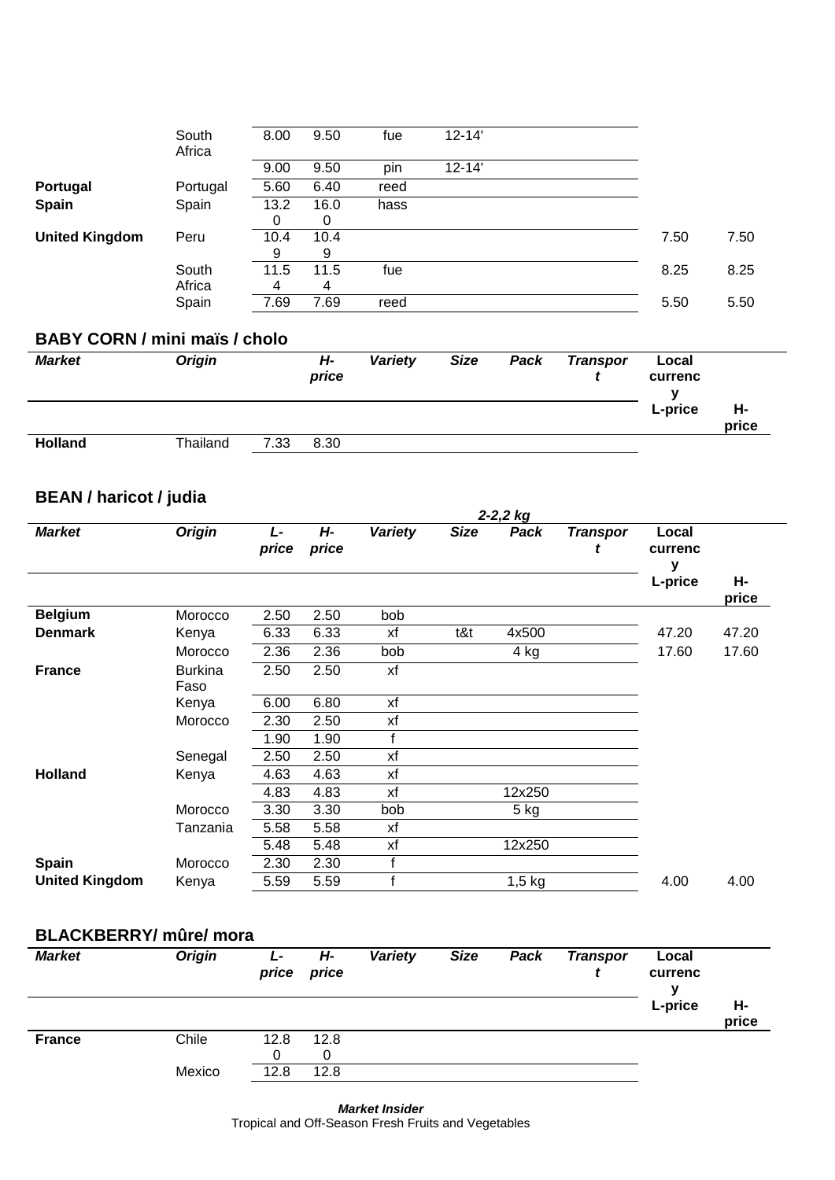|                       | South<br>Africa | 8.00 | 9.50 | fue  | $12 - 14'$ |      |      |
|-----------------------|-----------------|------|------|------|------------|------|------|
|                       |                 | 9.00 | 9.50 | pin  | $12 - 14'$ |      |      |
| Portugal              | Portugal        | 5.60 | 6.40 | reed |            |      |      |
| <b>Spain</b>          | Spain           | 13.2 | 16.0 | hass |            |      |      |
|                       |                 | 0    | 0    |      |            |      |      |
| <b>United Kingdom</b> | Peru            | 10.4 | 10.4 |      |            | 7.50 | 7.50 |
|                       |                 | 9    | 9    |      |            |      |      |
|                       | South           | 11.5 | 11.5 | fue  |            | 8.25 | 8.25 |
|                       | Africa          | 4    | 4    |      |            |      |      |
|                       | Spain           | 7.69 | 7.69 | reed |            | 5.50 | 5.50 |

### **BABY CORN / mini maïs / cholo**

| Market         | <b>Origin</b> |      | Н-<br>price | Variety | <b>Size</b> | Pack | <b>Transpor</b> | Local<br>currenc |             |
|----------------|---------------|------|-------------|---------|-------------|------|-----------------|------------------|-------------|
|                |               |      |             |         |             |      |                 | L-price          | Н-<br>price |
| <b>Holland</b> | Thailand      | 7.33 | 8.30        |         |             |      |                 |                  |             |

# **BEAN / haricot / judia**

|                       |                        | $2 - 2, 2$ kg |             |                |             |          |                 |                       |             |  |  |
|-----------------------|------------------------|---------------|-------------|----------------|-------------|----------|-----------------|-----------------------|-------------|--|--|
| <b>Market</b>         | <b>Origin</b>          | L-<br>price   | H-<br>price | <b>Variety</b> | <b>Size</b> | Pack     | <b>Transpor</b> | Local<br>currenc<br>у |             |  |  |
|                       |                        |               |             |                |             |          |                 | L-price               | Н-<br>price |  |  |
| <b>Belgium</b>        | Morocco                | 2.50          | 2.50        | bob            |             |          |                 |                       |             |  |  |
| <b>Denmark</b>        | Kenya                  | 6.33          | 6.33        | xf             | t&t         | 4x500    |                 | 47.20                 | 47.20       |  |  |
|                       | Morocco                | 2.36          | 2.36        | bob            |             | 4 kg     |                 | 17.60                 | 17.60       |  |  |
| <b>France</b>         | <b>Burkina</b><br>Faso | 2.50          | 2.50        | xf             |             |          |                 |                       |             |  |  |
|                       | Kenya                  | 6.00          | 6.80        | xf             |             |          |                 |                       |             |  |  |
|                       | Morocco                | 2.30          | 2.50        | xf             |             |          |                 |                       |             |  |  |
|                       |                        | 1.90          | 1.90        |                |             |          |                 |                       |             |  |  |
|                       | Senegal                | 2.50          | 2.50        | xf             |             |          |                 |                       |             |  |  |
| <b>Holland</b>        | Kenya                  | 4.63          | 4.63        | xf             |             |          |                 |                       |             |  |  |
|                       |                        | 4.83          | 4.83        | xf             |             | 12x250   |                 |                       |             |  |  |
|                       | Morocco                | 3.30          | 3.30        | bob            |             | 5 kg     |                 |                       |             |  |  |
|                       | Tanzania               | 5.58          | 5.58        | xf             |             |          |                 |                       |             |  |  |
|                       |                        | 5.48          | 5.48        | xf             |             | 12x250   |                 |                       |             |  |  |
| Spain                 | Morocco                | 2.30          | 2.30        |                |             |          |                 |                       |             |  |  |
| <b>United Kingdom</b> | Kenya                  | 5.59          | 5.59        | c              |             | $1,5$ kg |                 | 4.00                  | 4.00        |  |  |

#### **BLACKBERRY/ mûre/ mora**

| <b>Market</b> | <b>Origin</b> | L-<br>price | H-<br>price | Variety | <b>Size</b> | Pack | <b>Transpor</b> | Local<br>currenc<br>v |             |
|---------------|---------------|-------------|-------------|---------|-------------|------|-----------------|-----------------------|-------------|
|               |               |             |             |         |             |      |                 | L-price               | Н-<br>price |
| <b>France</b> | Chile         | 12.8        | 12.8<br>0   |         |             |      |                 |                       |             |
|               | Mexico        | 12.8        | 12.8        |         |             |      |                 |                       |             |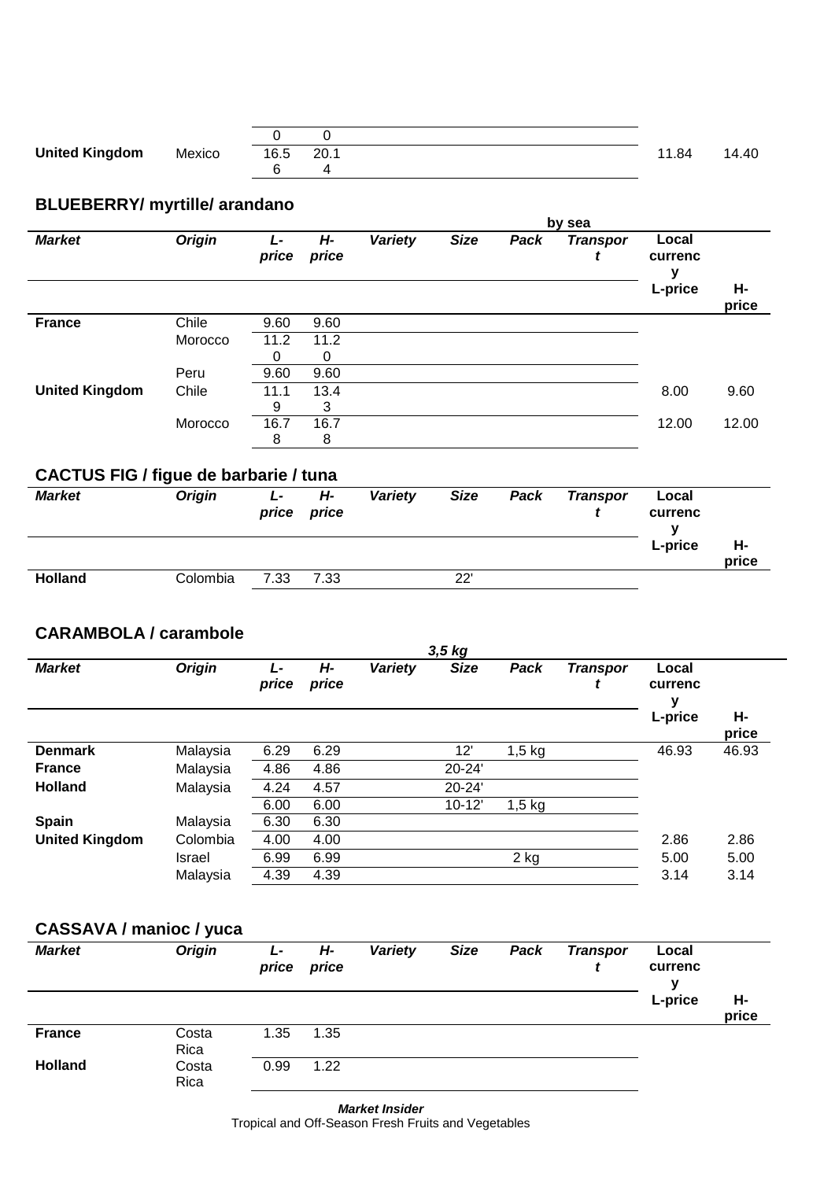| <b>United Kingdom</b> | Mexico | 16.5 20.1 |  | 11.84 | 14.40 |
|-----------------------|--------|-----------|--|-------|-------|
|                       |        |           |  |       |       |

# **BLUEBERRY/ myrtille/ arandano**

|                       |               | by sea     |             |         |             |      |                 |                       |             |  |  |  |
|-----------------------|---------------|------------|-------------|---------|-------------|------|-----------------|-----------------------|-------------|--|--|--|
| <b>Market</b>         | <b>Origin</b> | Ŀ<br>price | H-<br>price | Variety | <b>Size</b> | Pack | <b>Transpor</b> | Local<br>currenc<br>ν |             |  |  |  |
|                       |               |            |             |         |             |      |                 | L-price               | Н-<br>price |  |  |  |
| <b>France</b>         | Chile         | 9.60       | 9.60        |         |             |      |                 |                       |             |  |  |  |
|                       | Morocco       | 11.2       | 11.2        |         |             |      |                 |                       |             |  |  |  |
|                       |               | 0          | $\Omega$    |         |             |      |                 |                       |             |  |  |  |
|                       | Peru          | 9.60       | 9.60        |         |             |      |                 |                       |             |  |  |  |
| <b>United Kingdom</b> | Chile         | 11.1       | 13.4        |         |             |      |                 | 8.00                  | 9.60        |  |  |  |
|                       |               | 9          | 3           |         |             |      |                 |                       |             |  |  |  |
|                       | Morocco       | 16.7       | 16.7        |         |             |      |                 | 12.00                 | 12.00       |  |  |  |
|                       |               | 8          | 8           |         |             |      |                 |                       |             |  |  |  |

# **CACTUS FIG / figue de barbarie / tuna**

| <b>Market</b>  | <b>Origin</b> | L-<br>price | H-<br>price | <b>Variety</b> | <b>Size</b> | Pack | <b>Transpor</b> | Local<br>currenc |             |
|----------------|---------------|-------------|-------------|----------------|-------------|------|-----------------|------------------|-------------|
|                |               |             |             |                |             |      |                 | L-price          | н-<br>price |
| <b>Holland</b> | Colombia      | 7.33        | 7.33        |                | 22'         |      |                 |                  |             |

#### **CARAMBOLA / carambole**

| 3,5 kg                |               |            |             |         |             |          |                      |                       |             |  |  |  |
|-----------------------|---------------|------------|-------------|---------|-------------|----------|----------------------|-----------------------|-------------|--|--|--|
| <b>Market</b>         | <b>Origin</b> | Ŀ<br>price | Н-<br>price | Variety | <b>Size</b> | Pack     | <b>Transpor</b><br>ı | Local<br>currenc<br>у |             |  |  |  |
|                       |               |            |             |         |             |          |                      | L-price               | Н-<br>price |  |  |  |
| <b>Denmark</b>        | Malaysia      | 6.29       | 6.29        |         | 12'         | $1,5$ kg |                      | 46.93                 | 46.93       |  |  |  |
| <b>France</b>         | Malaysia      | 4.86       | 4.86        |         | 20-24'      |          |                      |                       |             |  |  |  |
| <b>Holland</b>        | Malaysia      | 4.24       | 4.57        |         | 20-24'      |          |                      |                       |             |  |  |  |
|                       |               | 6.00       | 6.00        |         | $10 - 12'$  | $1,5$ kg |                      |                       |             |  |  |  |
| <b>Spain</b>          | Malaysia      | 6.30       | 6.30        |         |             |          |                      |                       |             |  |  |  |
| <b>United Kingdom</b> | Colombia      | 4.00       | 4.00        |         |             |          |                      | 2.86                  | 2.86        |  |  |  |
|                       | Israel        | 6.99       | 6.99        |         |             | 2 kg     |                      | 5.00                  | 5.00        |  |  |  |
|                       | Malaysia      | 4.39       | 4.39        |         |             |          |                      | 3.14                  | 3.14        |  |  |  |

# **CASSAVA / manioc / yuca**

| <b>Market</b>  | <b>Origin</b> | L-<br>price | H-<br>price | Variety | <b>Size</b> | Pack | <b>Transpor</b> | Local<br>currenc<br>v |             |
|----------------|---------------|-------------|-------------|---------|-------------|------|-----------------|-----------------------|-------------|
|                |               |             |             |         |             |      |                 | L-price               | Н-<br>price |
| <b>France</b>  | Costa<br>Rica | 1.35        | 1.35        |         |             |      |                 |                       |             |
| <b>Holland</b> | Costa<br>Rica | 0.99        | 1.22        |         |             |      |                 |                       |             |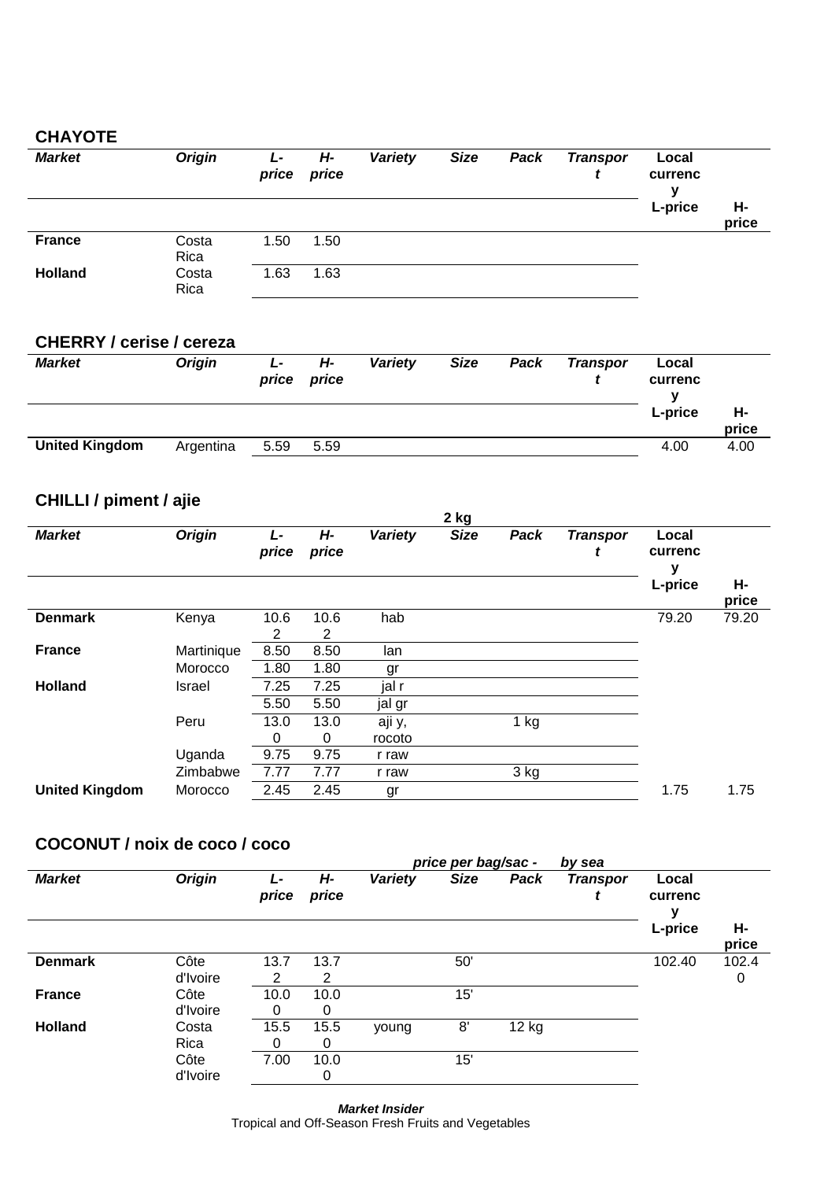### **CHAYOTE**

| <b>Market</b>  | <b>Origin</b> | L-<br>price | Н-<br>price | Variety | <b>Size</b> | Pack | <b>Transpor</b> | Local<br>currenc<br>v |             |
|----------------|---------------|-------------|-------------|---------|-------------|------|-----------------|-----------------------|-------------|
|                |               |             |             |         |             |      |                 | L-price               | Н-<br>price |
| <b>France</b>  | Costa<br>Rica | 1.50        | 1.50        |         |             |      |                 |                       |             |
| <b>Holland</b> | Costa<br>Rica | 1.63        | 1.63        |         |             |      |                 |                       |             |

#### **CHERRY / cerise / cereza**

| <b>Market</b>         | <b>Origin</b> | Ŀ<br>price | Н-<br>price | Variety | <b>Size</b> | Pack | <b>Transpor</b> | Local<br>currenc |             |
|-----------------------|---------------|------------|-------------|---------|-------------|------|-----------------|------------------|-------------|
|                       |               |            |             |         |             |      |                 | L-price          | н-<br>price |
| <b>United Kingdom</b> | Argentina     | 5.59       | 5.59        |         |             |      |                 | 4.00             | 4.00        |

# **CHILLI / piment / ajie**

|                       |               |             |             |         | $2$ kg      |        |                      |                  |             |
|-----------------------|---------------|-------------|-------------|---------|-------------|--------|----------------------|------------------|-------------|
| <b>Market</b>         | <b>Origin</b> | L-<br>price | Н-<br>price | Variety | <b>Size</b> | Pack   | <b>Transpor</b><br>τ | Local<br>currenc |             |
|                       |               |             |             |         |             |        |                      | L-price          | Н-<br>price |
| <b>Denmark</b>        | Kenya         | 10.6<br>2   | 10.6<br>2   | hab     |             |        |                      | 79.20            | 79.20       |
| <b>France</b>         | Martinique    | 8.50        | 8.50        | lan     |             |        |                      |                  |             |
|                       | Morocco       | 1.80        | 1.80        | gr      |             |        |                      |                  |             |
| <b>Holland</b>        | Israel        | 7.25        | 7.25        | jal r   |             |        |                      |                  |             |
|                       |               | 5.50        | 5.50        | jal gr  |             |        |                      |                  |             |
|                       | Peru          | 13.0        | 13.0        | aji y,  |             | $1$ kg |                      |                  |             |
|                       |               | 0           | $\Omega$    | rocoto  |             |        |                      |                  |             |
|                       | Uganda        | 9.75        | 9.75        | r raw   |             |        |                      |                  |             |
|                       | Zimbabwe      | 7.77        | 7.77        | r raw   |             | 3 kg   |                      |                  |             |
| <b>United Kingdom</b> | Morocco       | 2.45        | 2.45        | gr      |             |        |                      | 1.75             | 1.75        |
|                       |               |             |             |         |             |        |                      |                  |             |

### **COCONUT / noix de coco / coco**

|                |               |             |             |                | price per bag/sac - |       | by sea          |                  |             |
|----------------|---------------|-------------|-------------|----------------|---------------------|-------|-----------------|------------------|-------------|
| <b>Market</b>  | <b>Origin</b> | L-<br>price | Н-<br>price | <b>Variety</b> | <b>Size</b>         | Pack  | <b>Transpor</b> | Local<br>currenc |             |
|                |               |             |             |                |                     |       |                 | L-price          | н-<br>price |
| <b>Denmark</b> | Côte          | 13.7        | 13.7        |                | 50'                 |       |                 | 102.40           | 102.4       |
|                | d'Ivoire      | 2           | 2           |                |                     |       |                 |                  | 0           |
| <b>France</b>  | Côte          | 10.0        | 10.0        |                | 15'                 |       |                 |                  |             |
|                | d'Ivoire      |             | 0           |                |                     |       |                 |                  |             |
| <b>Holland</b> | Costa         | 15.5        | 15.5        | young          | 8'                  | 12 kg |                 |                  |             |
|                | Rica          | 0           | 0           |                |                     |       |                 |                  |             |
|                | Côte          | 7.00        | 10.0        |                | 15'                 |       |                 |                  |             |
|                | d'Ivoire      |             | 0           |                |                     |       |                 |                  |             |

*Market Insider* Tropical and Off-Season Fresh Fruits and Vegetables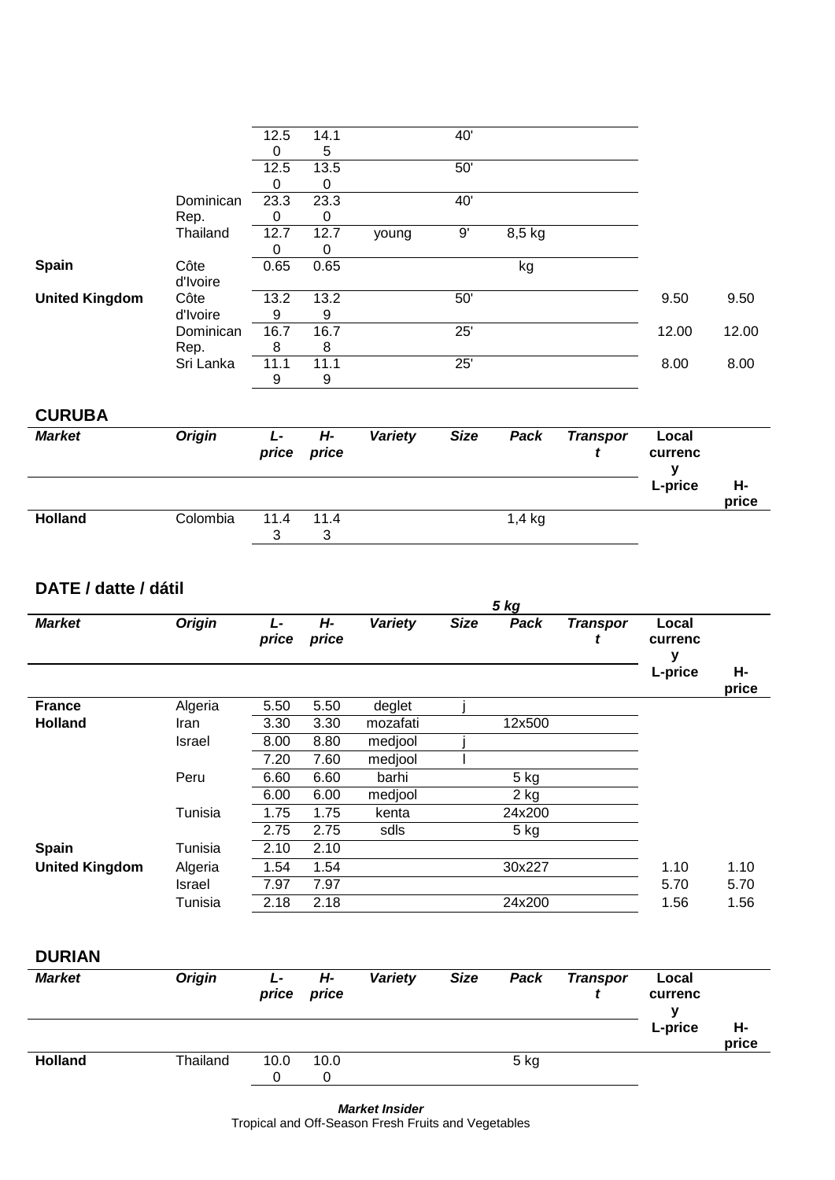|                       |               | 12.5<br>$\pmb{0}$ | 14.1<br>5        |                | 40'         |                   |                      |                       |             |
|-----------------------|---------------|-------------------|------------------|----------------|-------------|-------------------|----------------------|-----------------------|-------------|
|                       |               | 12.5              | 13.5             |                | 50'         |                   |                      |                       |             |
|                       |               | $\pmb{0}$         | 0                |                |             |                   |                      |                       |             |
|                       | Dominican     | 23.3              | 23.3             |                | 40'         |                   |                      |                       |             |
|                       | Rep.          | $\pmb{0}$         | 0                |                | 9'          |                   |                      |                       |             |
|                       | Thailand      | 12.7<br>0         | 12.7<br>0        | young          |             | 8,5 kg            |                      |                       |             |
| Spain                 | Côte          | 0.65              | 0.65             |                |             | kg                |                      |                       |             |
|                       | d'Ivoire      |                   |                  |                |             |                   |                      |                       |             |
| <b>United Kingdom</b> | Côte          | 13.2              | 13.2             |                | 50'         |                   |                      | 9.50                  | 9.50        |
|                       | d'Ivoire      | 9                 | $\boldsymbol{9}$ |                |             |                   |                      |                       |             |
|                       | Dominican     | 16.7              | 16.7             |                | 25'         |                   |                      | 12.00                 | 12.00       |
|                       | Rep.          | 8                 | 8                |                |             |                   |                      |                       |             |
|                       | Sri Lanka     | 11.1              | 11.1             |                | 25'         |                   |                      | 8.00                  | 8.00        |
|                       |               | 9                 | 9                |                |             |                   |                      |                       |             |
| <b>CURUBA</b>         |               |                   |                  |                |             |                   |                      |                       |             |
| <b>Market</b>         | <b>Origin</b> | $L -$<br>price    | $H -$<br>price   | <b>Variety</b> | <b>Size</b> | Pack              | <b>Transpor</b><br>t | Local<br>currenc<br>y |             |
|                       |               |                   |                  |                |             |                   |                      | L-price               | н-          |
|                       |               |                   |                  |                |             |                   |                      |                       | price       |
|                       |               |                   |                  |                |             |                   |                      |                       |             |
| <b>Holland</b>        | Colombia      | 11.4<br>3         | 11.4<br>3        |                |             | 1,4 kg            |                      |                       |             |
| DATE / datte / dátil  |               |                   |                  |                |             | 5 <sub>kg</sub>   |                      |                       |             |
| <b>Market</b>         | <b>Origin</b> | $L -$<br>price    | $H -$<br>price   | <b>Variety</b> | <b>Size</b> | Pack              | <b>Transpor</b><br>t | Local<br>currenc      |             |
|                       |               |                   |                  |                |             |                   |                      | y<br>L-price          | н-<br>price |
| <b>France</b>         | Algeria       | 5.50              | 5.50             | deglet         |             |                   |                      |                       |             |
| <b>Holland</b>        | Iran          | 3.30              | 3.30             | mozafati       |             | 12x500            |                      |                       |             |
|                       | Israel        | 8.00              | 8.80             | medjool        |             |                   |                      |                       |             |
|                       |               | 7.20              | 7.60             | medjool        |             |                   |                      |                       |             |
|                       | Peru          | 6.60              | 6.60             | barhi          |             | $5$ kg            |                      |                       |             |
|                       |               | 6.00              | 6.00             | medjool        |             | $\overline{2}$ kg |                      |                       |             |
|                       | Tunisia       | 1.75              | 1.75             | kenta          |             | 24x200            |                      |                       |             |
|                       |               | 2.75              | 2.75             | sdls           |             | 5 kg              |                      |                       |             |
| Spain                 | Tunisia       | 2.10              | 2.10             |                |             |                   |                      |                       |             |
| <b>United Kingdom</b> | Algeria       | 1.54              | 1.54             |                |             | 30x227            |                      | 1.10                  | 1.10        |
|                       | Israel        | 7.97              | 7.97             |                |             |                   |                      | 5.70                  | 5.70        |
|                       | Tunisia       | 2.18              | 2.18             |                |             | 24x200            |                      | 1.56                  | 1.56        |
| <b>DURIAN</b>         |               |                   |                  |                |             |                   |                      |                       |             |

|                |          |      | $P^{\prime}$ |      | -------- |             |
|----------------|----------|------|--------------|------|----------|-------------|
|                |          |      |              |      | L-price  | H-<br>price |
| <b>Holland</b> | Thailand | 10.0 | 10.0         | 5 kg |          |             |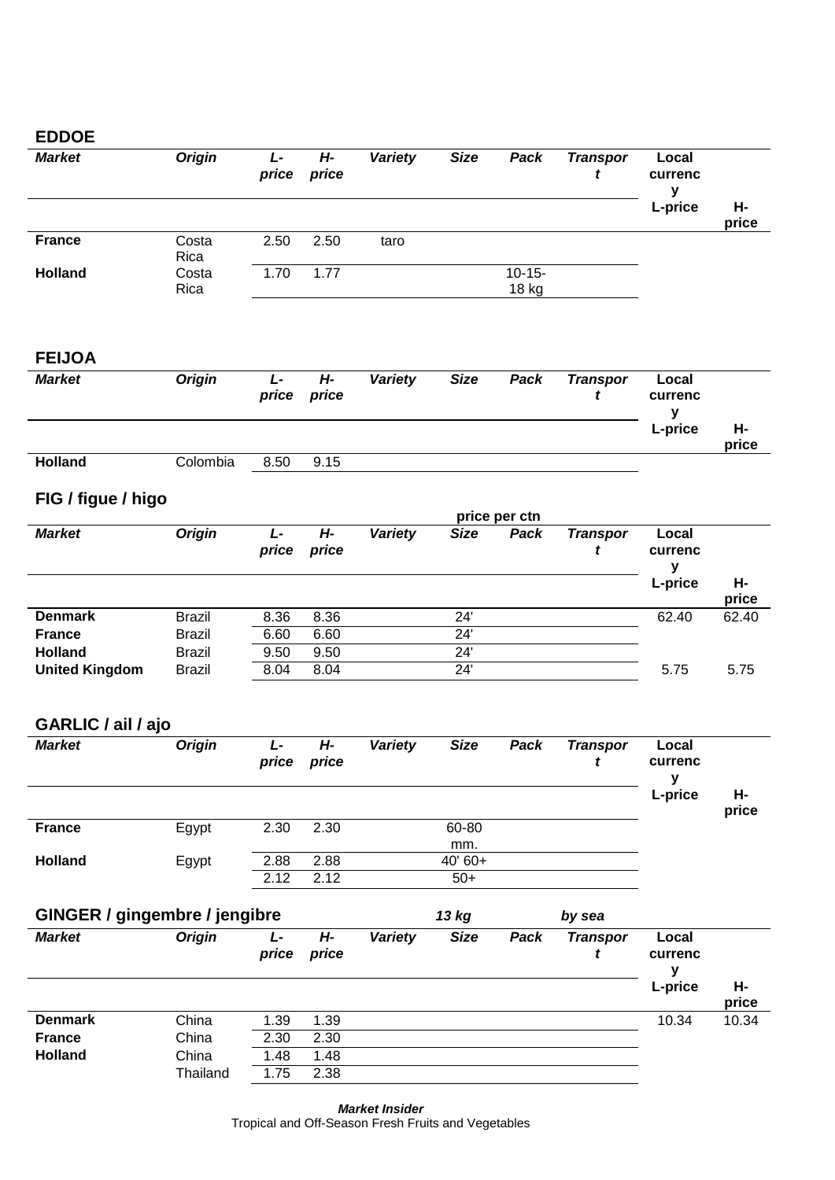#### **EDDOE**

| <b>Market</b>  | <b>Origin</b> | L-<br>price | Н-<br>price | Variety | <b>Size</b> | Pack                 | <b>Transpor</b> | Local<br>currenc<br>v |             |
|----------------|---------------|-------------|-------------|---------|-------------|----------------------|-----------------|-----------------------|-------------|
|                |               |             |             |         |             |                      |                 | L-price               | Н-<br>price |
| <b>France</b>  | Costa<br>Rica | 2.50        | 2.50        | taro    |             |                      |                 |                       |             |
| <b>Holland</b> | Costa<br>Rica | 1.70        | 1.77        |         |             | $10 - 15 -$<br>18 kg |                 |                       |             |

#### **FEIJOA**

| <b>Market</b>  | <b>Origin</b> | L-<br>price | Н-<br>price | Variety | <b>Size</b> | Pack | <b>Transpor</b> | Local<br>currenc |             |
|----------------|---------------|-------------|-------------|---------|-------------|------|-----------------|------------------|-------------|
|                |               |             |             |         |             |      |                 | L-price          | н-<br>price |
| <b>Holland</b> | Colombia      | 8.50        | 9.15        |         |             |      |                 |                  |             |

# **FIG / figue / higo**

|                       | price per ctn |            |             |         |             |      |                 |                       |             |  |  |  |
|-----------------------|---------------|------------|-------------|---------|-------------|------|-----------------|-----------------------|-------------|--|--|--|
| <b>Market</b>         | <b>Origin</b> | Ŀ<br>price | Н-<br>price | Variety | <b>Size</b> | Pack | <b>Transpor</b> | Local<br>currenc<br>v |             |  |  |  |
|                       |               |            |             |         |             |      |                 | L-price               | Н-<br>price |  |  |  |
| <b>Denmark</b>        | Brazil        | 8.36       | 8.36        |         | 24'         |      |                 | 62.40                 | 62.40       |  |  |  |
| <b>France</b>         | <b>Brazil</b> | 6.60       | 6.60        |         | 24'         |      |                 |                       |             |  |  |  |
| <b>Holland</b>        | Brazil        | 9.50       | 9.50        |         | 24'         |      |                 |                       |             |  |  |  |
| <b>United Kingdom</b> | <b>Brazil</b> | 8.04       | 8.04        |         | 24'         |      |                 | 5.75                  | 5.75        |  |  |  |

# **GARLIC / ail / ajo**

| <b>Market</b>  | <b>Origin</b> | Ŀ<br>price   | H-<br>price  | Variety | <b>Size</b>       | Pack | <b>Transpor</b> | Local<br>currenc |             |
|----------------|---------------|--------------|--------------|---------|-------------------|------|-----------------|------------------|-------------|
|                |               |              |              |         |                   |      |                 | L-price          | Н-<br>price |
| <b>France</b>  | Egypt         | 2.30         | 2.30         |         | 60-80<br>mm.      |      |                 |                  |             |
| <b>Holland</b> | Egypt         | 2.88<br>2.12 | 2.88<br>2.12 |         | $40'60+$<br>$50+$ |      |                 |                  |             |

|                | GINGER / gingembre / jengibre |                    |             |         |             | 13 kg |                 |                  |             |
|----------------|-------------------------------|--------------------|-------------|---------|-------------|-------|-----------------|------------------|-------------|
| <b>Market</b>  | <b>Origin</b>                 | $L^{\pm}$<br>price | Н-<br>price | Variety | <b>Size</b> | Pack  | <b>Transpor</b> | Local<br>currenc |             |
|                |                               |                    |             |         |             |       |                 | L-price          | н-<br>price |
| <b>Denmark</b> | China                         | 1.39               | 1.39        |         |             |       |                 | 10.34            | 10.34       |
| <b>France</b>  | China                         | 2.30               | 2.30        |         |             |       |                 |                  |             |
| <b>Holland</b> | China                         | 1.48               | 1.48        |         |             |       |                 |                  |             |
|                | Thailand                      | 1.75               | 2.38        |         |             |       |                 |                  |             |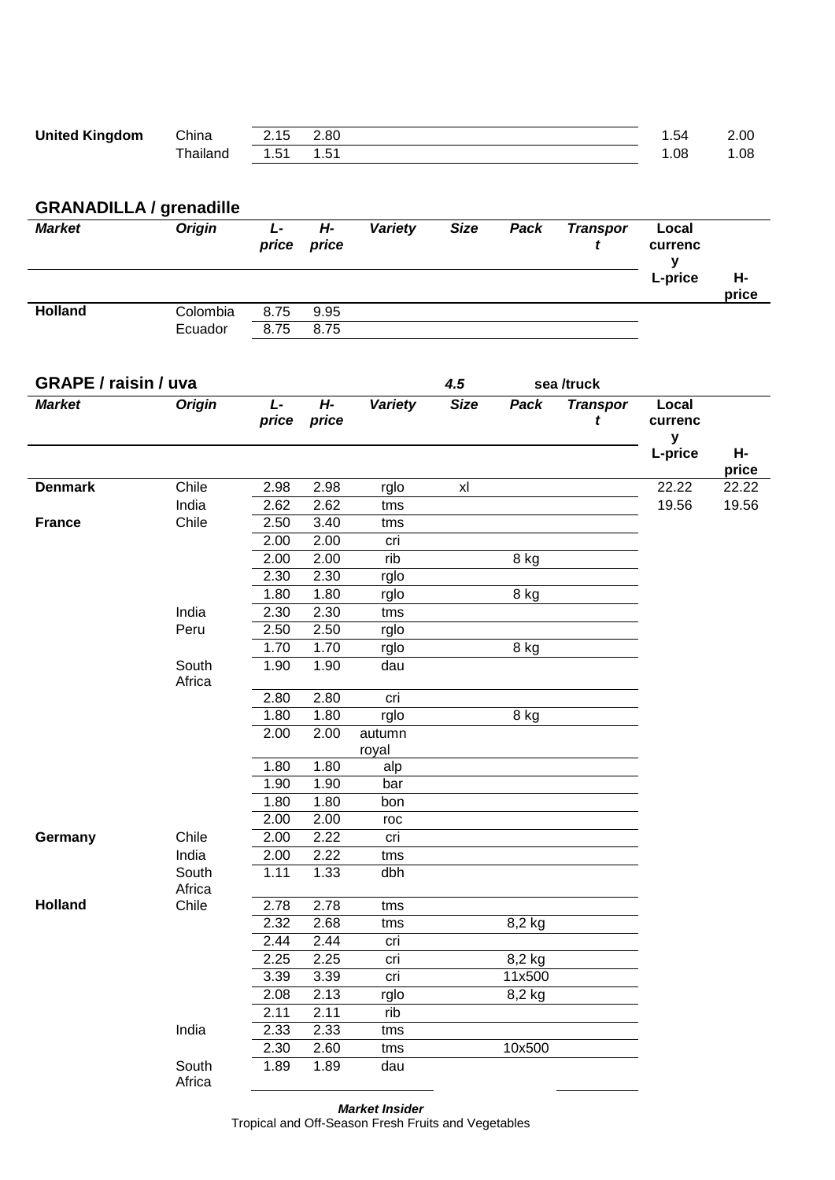| <b>United Kingdom</b> | China   | 2.15      | 2.80   | .54 | 2.00 |
|-----------------------|---------|-----------|--------|-----|------|
|                       | hailand | <b>51</b> | $\sim$ | .08 | .08  |

#### **GRANADILLA / grenadille**

| <b>Market</b>  | <b>Origin</b> | L-<br>price | H-<br>price | Variety | <b>Size</b> | Pack | <b>Transpor</b> | Local<br>currenc |             |
|----------------|---------------|-------------|-------------|---------|-------------|------|-----------------|------------------|-------------|
|                |               |             |             |         |             |      |                 | L-price          | Н-<br>price |
| <b>Holland</b> | Colombia      | 8.75        | 9.95        |         |             |      |                 |                  |             |
|                | Ecuador       | 8.75        | 8.75        |         |             |      |                 |                  |             |

| <b>GRAPE / raisin / uva</b> |                 |                |                | 4.5             |                | sea /truck |                      |                       |             |
|-----------------------------|-----------------|----------------|----------------|-----------------|----------------|------------|----------------------|-----------------------|-------------|
| <b>Market</b>               | <b>Origin</b>   | $L -$<br>price | $H -$<br>price | Variety         | <b>Size</b>    | Pack       | <b>Transpor</b><br>t | Local<br>currenc<br>У |             |
|                             |                 |                |                |                 |                |            |                      | L-price               | Н-<br>price |
| <b>Denmark</b>              | Chile           | 2.98           | 2.98           | rglo            | x <sub>l</sub> |            |                      | 22.22                 | 22.22       |
|                             | India           | 2.62           | 2.62           | tms             |                |            |                      | 19.56                 | 19.56       |
| <b>France</b>               | Chile           | 2.50           | 3.40           | tms             |                |            |                      |                       |             |
|                             |                 | 2.00           | 2.00           | cri             |                |            |                      |                       |             |
|                             |                 | 2.00           | 2.00           | rib             |                | 8 kg       |                      |                       |             |
|                             |                 | 2.30           | 2.30           | rglo            |                |            |                      |                       |             |
|                             |                 | 1.80           | 1.80           | rglo            |                | 8 kg       |                      |                       |             |
|                             | India           | 2.30           | 2.30           | tms             |                |            |                      |                       |             |
|                             | Peru            | 2.50           | 2.50           | rglo            |                |            |                      |                       |             |
|                             |                 | 1.70           | 1.70           | rglo            |                | 8 kg       |                      |                       |             |
|                             | South<br>Africa | 1.90           | 1.90           | dau             |                |            |                      |                       |             |
|                             |                 | 2.80           | 2.80           | cri             |                |            |                      |                       |             |
|                             |                 | 1.80           | 1.80           | rglo            |                | 8 kg       |                      |                       |             |
|                             |                 | 2.00           | 2.00           | autumn<br>royal |                |            |                      |                       |             |
|                             |                 | 1.80           | 1.80           | alp             |                |            |                      |                       |             |
|                             |                 | 1.90           | 1.90           | bar             |                |            |                      |                       |             |
|                             |                 | 1.80           | 1.80           | bon             |                |            |                      |                       |             |
|                             |                 | 2.00           | 2.00           | roc             |                |            |                      |                       |             |
| Germany                     | Chile           | 2.00           | 2.22           | cri             |                |            |                      |                       |             |
|                             | India           | 2.00           | 2.22           | tms             |                |            |                      |                       |             |
|                             | South<br>Africa | 1.11           | 1.33           | dbh             |                |            |                      |                       |             |
| <b>Holland</b>              | Chile           | 2.78           | 2.78           | tms             |                |            |                      |                       |             |
|                             |                 | 2.32           | 2.68           | tms             |                | 8,2 kg     |                      |                       |             |
|                             |                 | 2.44           | 2.44           | cri             |                |            |                      |                       |             |
|                             |                 | 2.25           | 2.25           | cri             |                | 8,2 kg     |                      |                       |             |
|                             |                 | 3.39           | 3.39           | cri             |                | 11x500     |                      |                       |             |
|                             |                 | 2.08           | 2.13           | rglo            |                | 8,2 kg     |                      |                       |             |
|                             |                 | 2.11           | 2.11           | rib             |                |            |                      |                       |             |
|                             | India           | 2.33           | 2.33           | tms             |                |            |                      |                       |             |
|                             |                 | 2.30           | 2.60           | tms             |                | 10x500     |                      |                       |             |
|                             | South<br>Africa | 1.89           | 1.89           | dau             |                |            |                      |                       |             |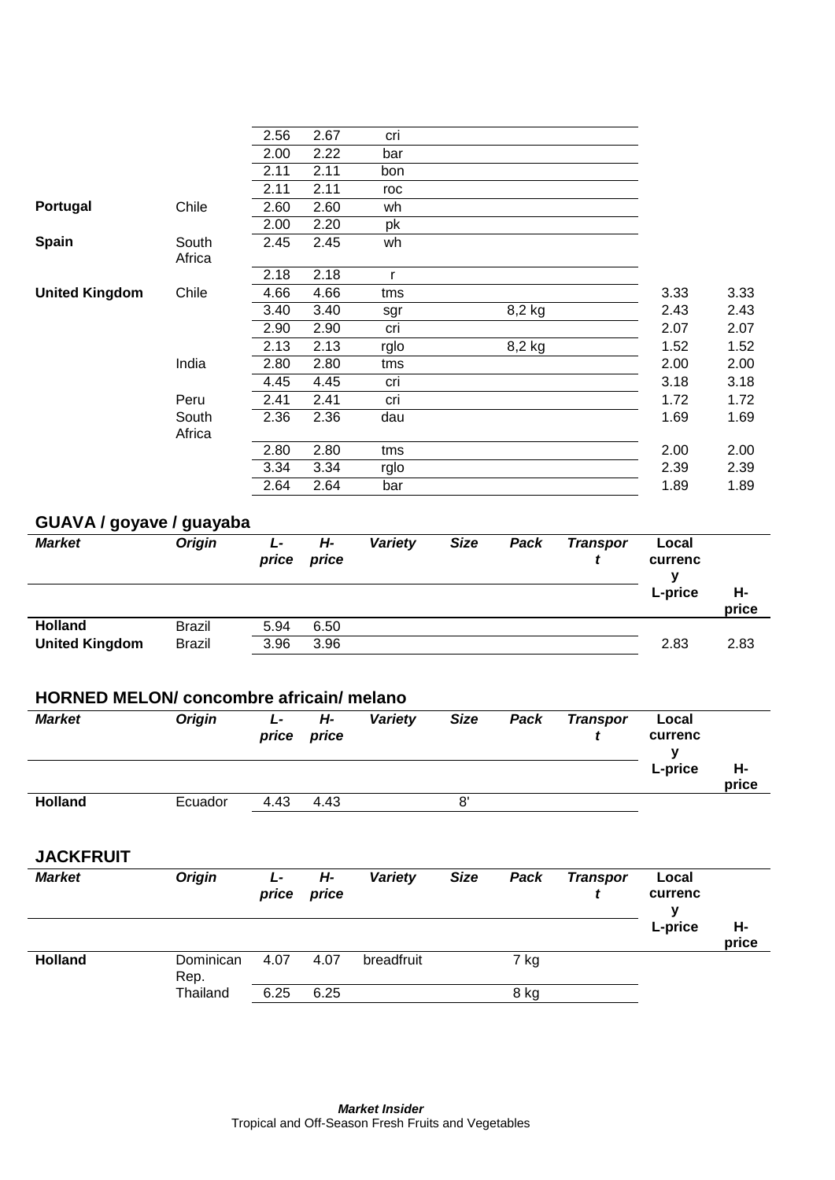|                       |        | 2.56 | 2.67 | cri  |        |      |      |
|-----------------------|--------|------|------|------|--------|------|------|
|                       |        | 2.00 | 2.22 | bar  |        |      |      |
|                       |        | 2.11 | 2.11 | bon  |        |      |      |
|                       |        | 2.11 | 2.11 | roc  |        |      |      |
| Portugal              | Chile  | 2.60 | 2.60 | wh   |        |      |      |
|                       |        | 2.00 | 2.20 | pk   |        |      |      |
| <b>Spain</b>          | South  | 2.45 | 2.45 | wh   |        |      |      |
|                       | Africa |      |      |      |        |      |      |
|                       |        | 2.18 | 2.18 | r    |        |      |      |
| <b>United Kingdom</b> | Chile  | 4.66 | 4.66 | tms  |        | 3.33 | 3.33 |
|                       |        | 3.40 | 3.40 | sgr  | 8,2 kg | 2.43 | 2.43 |
|                       |        | 2.90 | 2.90 | cri  |        | 2.07 | 2.07 |
|                       |        | 2.13 | 2.13 | rglo | 8,2 kg | 1.52 | 1.52 |
|                       | India  | 2.80 | 2.80 | tms  |        | 2.00 | 2.00 |
|                       |        | 4.45 | 4.45 | cri  |        | 3.18 | 3.18 |
|                       | Peru   | 2.41 | 2.41 | cri  |        | 1.72 | 1.72 |
|                       | South  | 2.36 | 2.36 | dau  |        | 1.69 | 1.69 |
|                       | Africa |      |      |      |        |      |      |
|                       |        | 2.80 | 2.80 | tms  |        | 2.00 | 2.00 |
|                       |        | 3.34 | 3.34 | rglo |        | 2.39 | 2.39 |
|                       |        | 2.64 | 2.64 | bar  |        | 1.89 | 1.89 |
|                       |        |      |      |      |        |      |      |

# **GUAVA / goyave / guayaba**

| - -<br><b>Market</b>  | <b>Origin</b> | Ŀ<br>price | Н-<br>price | Variety | <b>Size</b> | Pack | <b>Transpor</b> | Local<br>currenc<br>v |             |
|-----------------------|---------------|------------|-------------|---------|-------------|------|-----------------|-----------------------|-------------|
|                       |               |            |             |         |             |      |                 | L-price               | Н-<br>price |
| <b>Holland</b>        | <b>Brazil</b> | 5.94       | 6.50        |         |             |      |                 |                       |             |
| <b>United Kingdom</b> | <b>Brazil</b> | 3.96       | 3.96        |         |             |      |                 | 2.83                  | 2.83        |

## **HORNED MELON/ concombre africain/ melano**

| <b>Market</b>  | <b>Origin</b> | Ŀ<br>price | Н-<br>price | Variety | <b>Size</b> | Pack | <b>Transpor</b> | Local<br>currenc<br>v |             |
|----------------|---------------|------------|-------------|---------|-------------|------|-----------------|-----------------------|-------------|
|                |               |            |             |         |             |      |                 | L-price               | Н-<br>price |
| <b>Holland</b> | Ecuador       | 4.43       | 4.43        |         | 8'          |      |                 |                       |             |

**JACKFRUIT**

| <b>Market</b>  | <b>Origin</b>     | Ŀ<br>price | Н-<br>price | Variety    | <b>Size</b> | Pack | <b>Transpor</b> | Local<br>currenc |             |
|----------------|-------------------|------------|-------------|------------|-------------|------|-----------------|------------------|-------------|
|                |                   |            |             |            |             |      |                 | L-price          | Н-<br>price |
| <b>Holland</b> | Dominican<br>Rep. | 4.07       | 4.07        | breadfruit |             | 7 kg |                 |                  |             |
|                | Thailand          | 6.25       | 6.25        |            |             | 8 kg |                 |                  |             |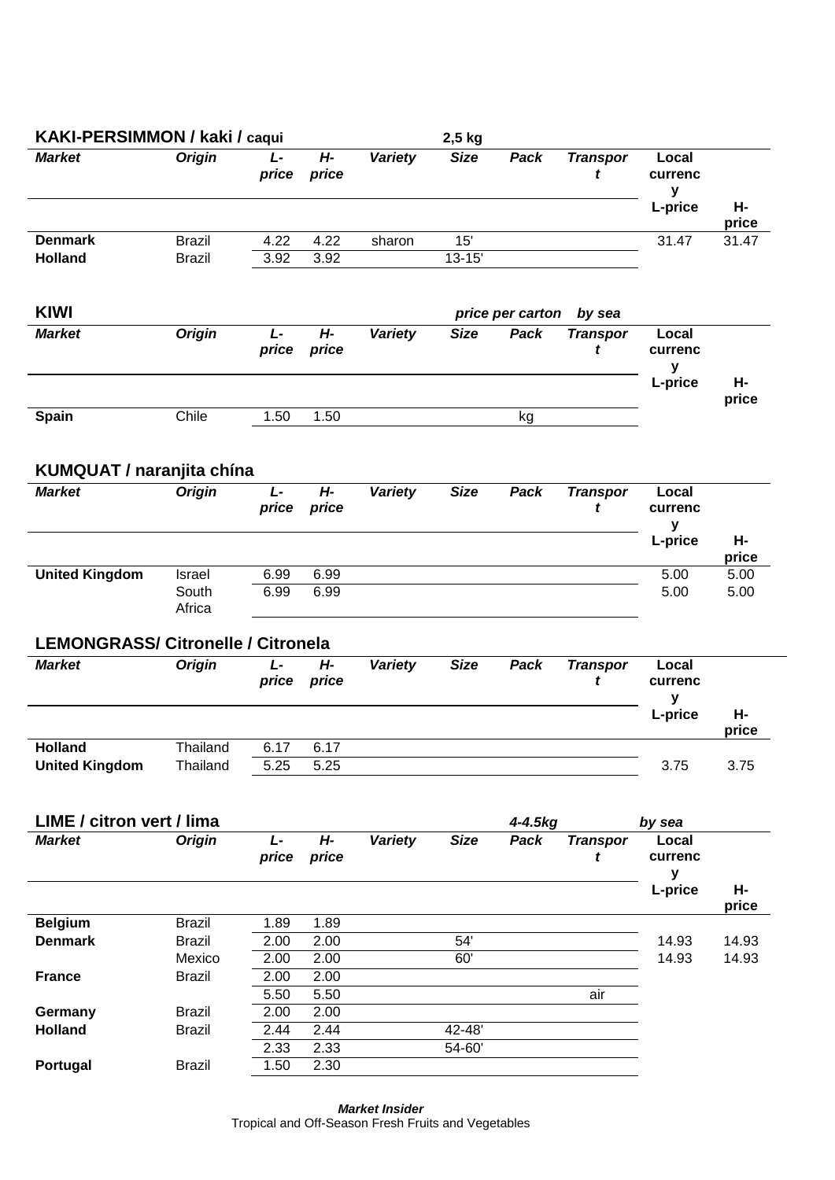| KAKI-PERSIMMON / kaki / caqui             |                           |                |                |                | 2,5 kg      |                  |                      |                                  |                |
|-------------------------------------------|---------------------------|----------------|----------------|----------------|-------------|------------------|----------------------|----------------------------------|----------------|
| <b>Market</b>                             | <b>Origin</b>             | L-<br>price    | H-<br>price    | Variety        | <b>Size</b> | Pack             | <b>Transpor</b><br>t | Local<br>currenc<br>y<br>L-price | Н-             |
| <b>Denmark</b>                            | <b>Brazil</b>             | 4.22           | 4.22           | sharon         | 15'         |                  |                      | 31.47                            | price<br>31.47 |
| <b>Holland</b>                            | <b>Brazil</b>             | 3.92           | 3.92           |                | $13 - 15'$  |                  |                      |                                  |                |
| <b>KIWI</b>                               |                           |                |                |                |             | price per carton | by sea               |                                  |                |
| <b>Market</b>                             | <b>Origin</b>             | $L -$<br>price | $H -$<br>price | Variety        | <b>Size</b> | Pack             | <b>Transpor</b><br>t | Local<br>currenc<br>y<br>L-price | н-             |
| <b>Spain</b>                              | Chile                     | 1.50           | 1.50           |                |             | kg               |                      |                                  | price          |
| <b>KUMQUAT / naranjita chína</b>          |                           |                |                |                |             |                  |                      |                                  |                |
| <b>Market</b>                             | <b>Origin</b>             | L-<br>price    | $H -$<br>price | <b>Variety</b> | <b>Size</b> | Pack             | <b>Transpor</b><br>t | Local<br>currenc<br>y            |                |
|                                           |                           |                |                |                |             |                  |                      | L-price                          | н-<br>price    |
| <b>United Kingdom</b>                     | Israel<br>South<br>Africa | 6.99<br>6.99   | 6.99<br>6.99   |                |             |                  |                      | 5.00<br>5.00                     | 5.00<br>5.00   |
| <b>LEMONGRASS/ Citronelle / Citronela</b> |                           |                |                |                |             |                  |                      |                                  |                |
| <b>Market</b>                             | <b>Origin</b>             | $L -$<br>price | $H -$<br>price | <b>Variety</b> | <b>Size</b> | Pack             | <b>Transpor</b><br>t | Local<br>currenc<br>y            |                |
|                                           |                           |                |                |                |             |                  |                      | L-price                          | н-<br>price    |
| <b>Holland</b><br><b>United Kingdom</b>   | Thailand<br>Thailand      | 6.17<br>5.25   | 6.17<br>5.25   |                |             |                  |                      | 3.75                             | 3.75           |
| LIME / citron vert / lima                 |                           |                |                |                |             | 4-4.5kg          |                      | by sea                           |                |
| <b>Market</b>                             | <b>Origin</b>             | $L -$<br>price | $H -$<br>price | <b>Variety</b> | <b>Size</b> | Pack             | <b>Transpor</b><br>t | Local<br>currenc<br>y            |                |
|                                           |                           |                |                |                |             |                  |                      | L-price                          | н-<br>price    |
| <b>Belgium</b>                            | <b>Brazil</b>             | 1.89           | 1.89           |                |             |                  |                      |                                  |                |
| <b>Denmark</b>                            | <b>Brazil</b>             | 2.00           | 2.00           |                | 54'         |                  |                      | 14.93                            | 14.93          |
|                                           | Mexico                    | 2.00           | 2.00           |                | 60'         |                  |                      | 14.93                            | 14.93          |
| <b>France</b>                             | <b>Brazil</b>             | 2.00<br>5.50   | 2.00<br>5.50   |                |             |                  | air                  |                                  |                |
| Germany                                   | <b>Brazil</b>             | 2.00           | 2.00           |                |             |                  |                      |                                  |                |
| <b>Holland</b>                            | <b>Brazil</b>             | 2.44           | 2.44           |                | 42-48'      |                  |                      |                                  |                |
|                                           |                           | 2.33           | 2.33           |                | 54-60'      |                  |                      |                                  |                |
| Portugal                                  | <b>Brazil</b>             | 1.50           | 2.30           |                |             |                  |                      |                                  |                |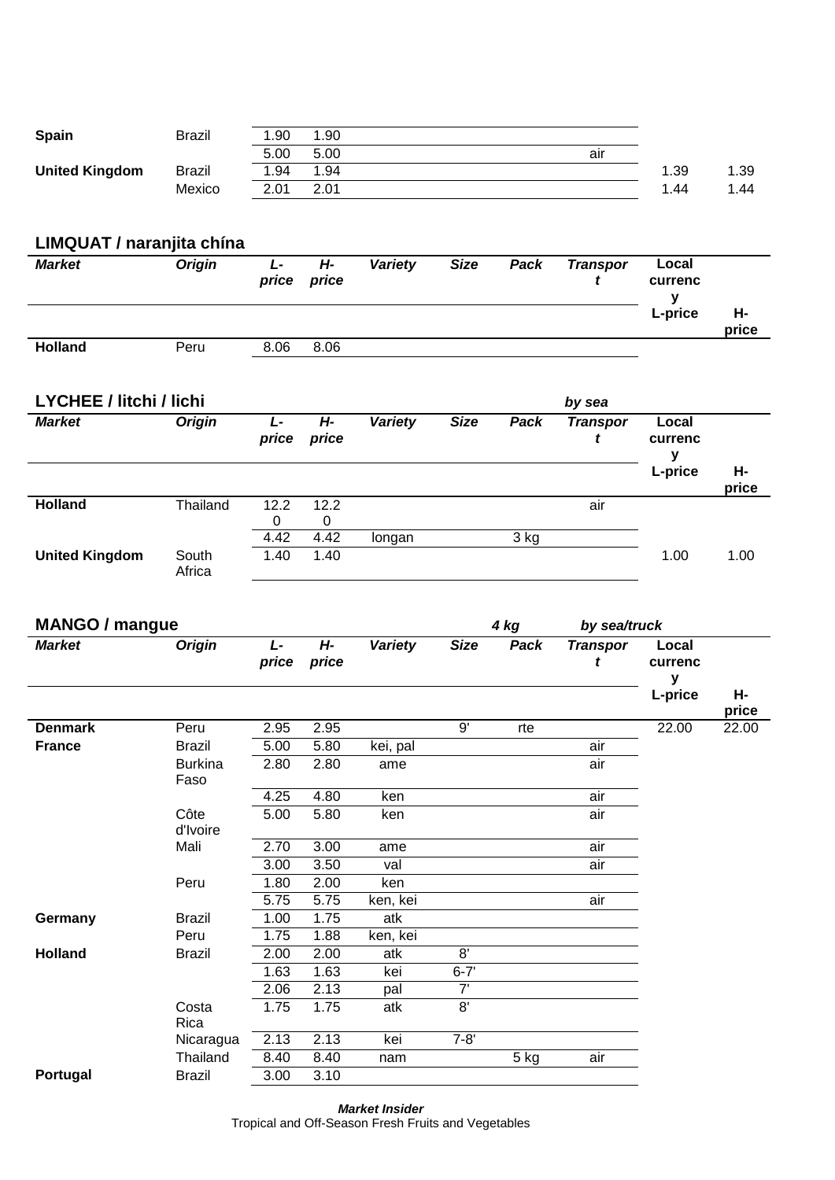| <b>Spain</b>          | Brazil | 1.90 | 1.90 |     |      |      |
|-----------------------|--------|------|------|-----|------|------|
|                       |        | 5.00 | 5.00 | aır |      |      |
| <b>United Kingdom</b> | Brazil | 1.94 | 1.94 |     | 1.39 | 1.39 |
|                       | Mexico | 2.01 | 2.01 |     | 1.44 | .44  |

# **LIMQUAT / naranjita chína**

| <b>Market</b>  | <b>Origin</b> | L-<br>price | Н-<br>price | <b>Variety</b> | <b>Size</b> | Pack | <b>Transpor</b> | Local<br>currenc |             |
|----------------|---------------|-------------|-------------|----------------|-------------|------|-----------------|------------------|-------------|
|                |               |             |             |                |             |      |                 | L-price          | н-<br>price |
| <b>Holland</b> | Peru          | 8.06        | 8.06        |                |             |      |                 |                  |             |

| <b>LYCHEE / litchi / lichi</b> |                 |            |             | by sea  |             |      |                 |                       |             |  |  |
|--------------------------------|-----------------|------------|-------------|---------|-------------|------|-----------------|-----------------------|-------------|--|--|
| <b>Market</b>                  | <b>Origin</b>   | Ŀ<br>price | H-<br>price | Variety | <b>Size</b> | Pack | <b>Transpor</b> | Local<br>currenc<br>v |             |  |  |
|                                |                 |            |             |         |             |      |                 | L-price               | Н-<br>price |  |  |
| <b>Holland</b>                 | Thailand        | 12.2<br>0  | 12.2<br>0   |         |             |      | air             |                       |             |  |  |
|                                |                 | 4.42       | 4.42        | longan  |             | 3 kg |                 |                       |             |  |  |
| <b>United Kingdom</b>          | South<br>Africa | 1.40       | 1.40        |         |             |      |                 | 1.00                  | 1.00        |  |  |

| <b>MANGO / mangue</b><br><b>Market</b> |             |             |                                      |             |          |                 |                       |                         |
|----------------------------------------|-------------|-------------|--------------------------------------|-------------|----------|-----------------|-----------------------|-------------------------|
| <b>Origin</b>                          | L-<br>price | H-<br>price | <b>Variety</b>                       | <b>Size</b> | Pack     | <b>Transpor</b> | Local<br>currenc<br>y |                         |
|                                        |             |             |                                      |             |          |                 |                       | н-<br>price             |
| Peru                                   | 2.95        | 2.95        |                                      | 9'          | rte      |                 | 22.00                 | 22.00                   |
| <b>Brazil</b>                          | 5.00        | 5.80        | kei, pal                             |             |          | air             |                       |                         |
| <b>Burkina</b><br>Faso                 | 2.80        | 2.80        | ame                                  |             |          | air             |                       |                         |
|                                        | 4.25        | 4.80        | ken                                  |             |          | air             |                       |                         |
| d'Ivoire                               | 5.00        |             | ken                                  |             |          | air             |                       |                         |
| Mali                                   | 2.70        | 3.00        | ame                                  |             |          | air             |                       |                         |
|                                        | 3.00        | 3.50        | val                                  |             |          | air             |                       |                         |
| Peru                                   | 1.80        | 2.00        | ken                                  |             |          |                 |                       |                         |
|                                        | 5.75        |             | ken, kei                             |             |          | air             |                       |                         |
| <b>Brazil</b>                          |             |             |                                      |             |          |                 |                       |                         |
| Peru                                   | 1.75        |             | ken, kei                             |             |          |                 |                       |                         |
| <b>Brazil</b>                          | 2.00        |             | atk                                  |             |          |                 |                       |                         |
|                                        | 1.63        | 1.63        | kei                                  | $6 - 7'$    |          |                 |                       |                         |
|                                        | 2.06        | 2.13        | pal                                  | 7'          |          |                 |                       |                         |
| Costa<br>Rica                          | 1.75        | 1.75        | atk                                  |             |          |                 |                       |                         |
| Nicaragua                              | 2.13        | 2.13        | kei                                  | $7 - 8'$    |          |                 |                       |                         |
| Thailand                               | 8.40        | 8.40        | nam                                  |             | 5 kg     | air             |                       |                         |
| <b>Brazil</b>                          | 3.00        | 3.10        |                                      |             |          |                 |                       |                         |
|                                        | Côte        | 1.00        | 5.80<br>5.75<br>1.75<br>1.88<br>2.00 | atk         | 8'<br>8' | 4 kg            |                       | by sea/truck<br>L-price |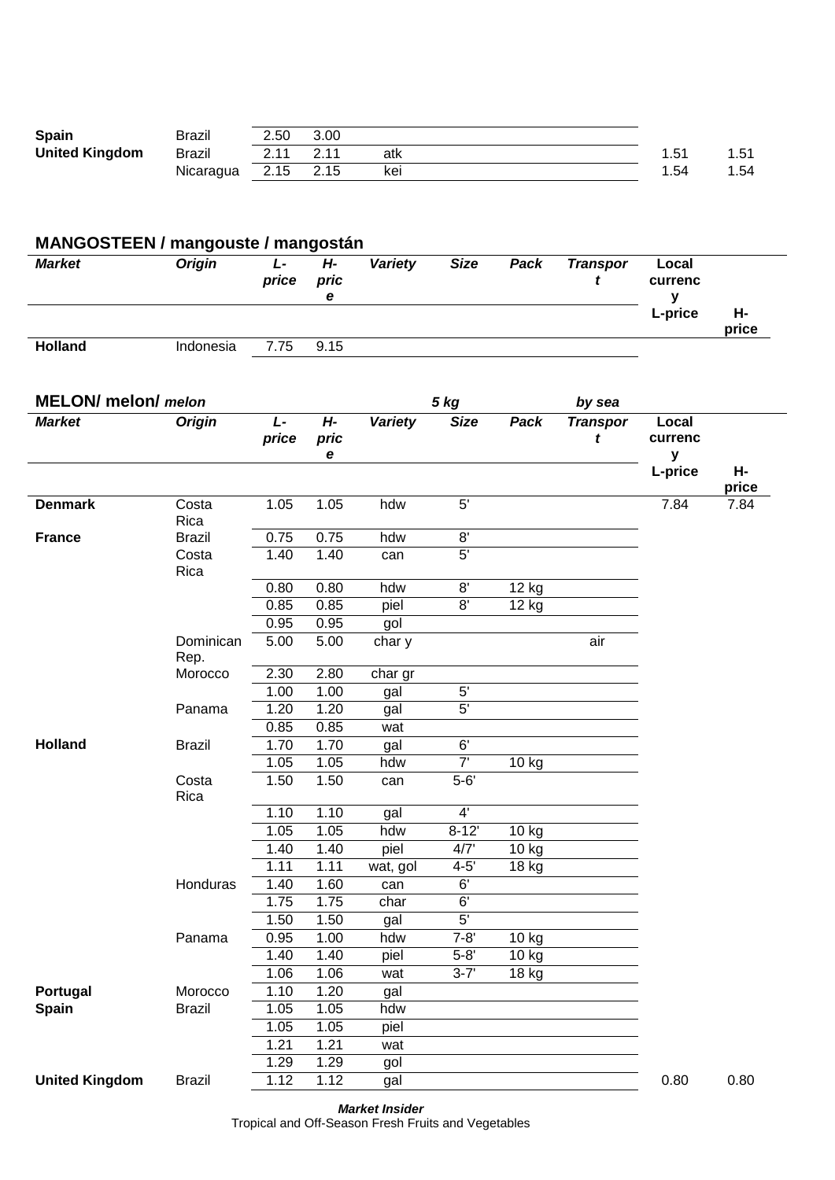| <b>Spain</b>          | Brazil    | 2.50 | 3.00 |     |      |        |
|-----------------------|-----------|------|------|-----|------|--------|
| <b>United Kingdom</b> | Brazil    | つ 44 | 211  | atk | . 51 | I C. I |
|                       | Nicaragua | 2.15 | 2.15 | kei | . 54 | 1.54   |

| <b>Market</b>               | <b>Origin</b>     | $\overline{L}$<br>price | $H -$<br>pric<br>e | <b>Variety</b> | <b>Size</b>    | Pack  | <b>Transpor</b><br>t | Local<br>currenc<br>y            |             |
|-----------------------------|-------------------|-------------------------|--------------------|----------------|----------------|-------|----------------------|----------------------------------|-------------|
|                             |                   |                         |                    |                |                |       |                      | L-price                          | Н-<br>price |
| <b>Holland</b>              | Indonesia         | 7.75                    | 9.15               |                |                |       |                      |                                  |             |
| <b>MELON</b> / melon/ melon |                   |                         |                    |                | <b>5 kg</b>    |       | by sea               |                                  |             |
| <b>Market</b>               | <b>Origin</b>     | L-<br>price             | $H -$<br>pric<br>e | <b>Variety</b> | <b>Size</b>    | Pack  | <b>Transpor</b><br>t | Local<br>currenc<br>$\mathbf{y}$ |             |
|                             |                   |                         |                    |                |                |       |                      | L-price                          | Н-<br>price |
| <b>Denmark</b>              | Costa<br>Rica     | 1.05                    | 1.05               | hdw            | $\overline{5}$ |       |                      | 7.84                             | 7.84        |
| <b>France</b>               | <b>Brazil</b>     | 0.75                    | 0.75               | hdw            | 8'             |       |                      |                                  |             |
|                             | Costa<br>Rica     | 1.40                    | 1.40               | can            | 5'             |       |                      |                                  |             |
|                             |                   | 0.80                    | 0.80               | hdw            | 8'             | 12 kg |                      |                                  |             |
|                             |                   | 0.85                    | 0.85               | piel           | $\overline{8}$ | 12 kg |                      |                                  |             |
|                             |                   | 0.95                    | 0.95               | gol            |                |       |                      |                                  |             |
|                             | Dominican<br>Rep. | 5.00                    | 5.00               | char y         |                |       | air                  |                                  |             |
|                             | Morocco           | 2.30                    | 2.80               | char gr        |                |       |                      |                                  |             |
|                             |                   | 1.00                    | 1.00               | gal            | 5'             |       |                      |                                  |             |
|                             | Panama            | 1.20                    | 1.20               | gal            | $\overline{5}$ |       |                      |                                  |             |
|                             |                   | 0.85                    | 0.85               | wat            |                |       |                      |                                  |             |
| <b>Holland</b>              | <b>Brazil</b>     | 1.70                    | 1.70               | gal            | 6'             |       |                      |                                  |             |
|                             |                   | 1.05                    | 1.05               | hdw            | $\overline{7}$ | 10 kg |                      |                                  |             |
|                             | Costa<br>Rica     | 1.50                    | 1.50               | can            | $5-6'$         |       |                      |                                  |             |
|                             |                   | 1.10                    | 1.10               | gal            | $\overline{4}$ |       |                      |                                  |             |
|                             |                   | 1.05                    | 1.05               | hdw            | $8 - 12'$      | 10 kg |                      |                                  |             |
|                             |                   | 1.40                    | 1.40               | piel           | 4/7'           | 10 kg |                      |                                  |             |
|                             |                   | 1.11                    | 1.11               | wat, gol       | $4 - 5'$       | 18 kg |                      |                                  |             |
|                             | Honduras          | 1.40                    | 1.60               | can            | 6'             |       |                      |                                  |             |
|                             |                   | 1.75                    | 1.75               | char           | 6'             |       |                      |                                  |             |
|                             |                   | 1.50                    | 1.50               | gal            | 5'             |       |                      |                                  |             |
|                             | Panama            | 0.95                    | 1.00               | hdw            | $7 - 8'$       | 10 kg |                      |                                  |             |

Portugal Morocco 1.10 1.20 gal **Spain Brazil 1.05 1.05 hdw** 

*Market Insider* **United Kingdom** Brazil 1.12 1.12 gal 0.80 0.80 0.80

1.40 1.40 piel 5-8' 10 kg 1.06 1.06 wat 3-7' 18 kg

# Tropical and Off-Season Fresh Fruits and Vegetables

1.05 1.05 piel 1.21 1.21 wat 1.29 1.29 gol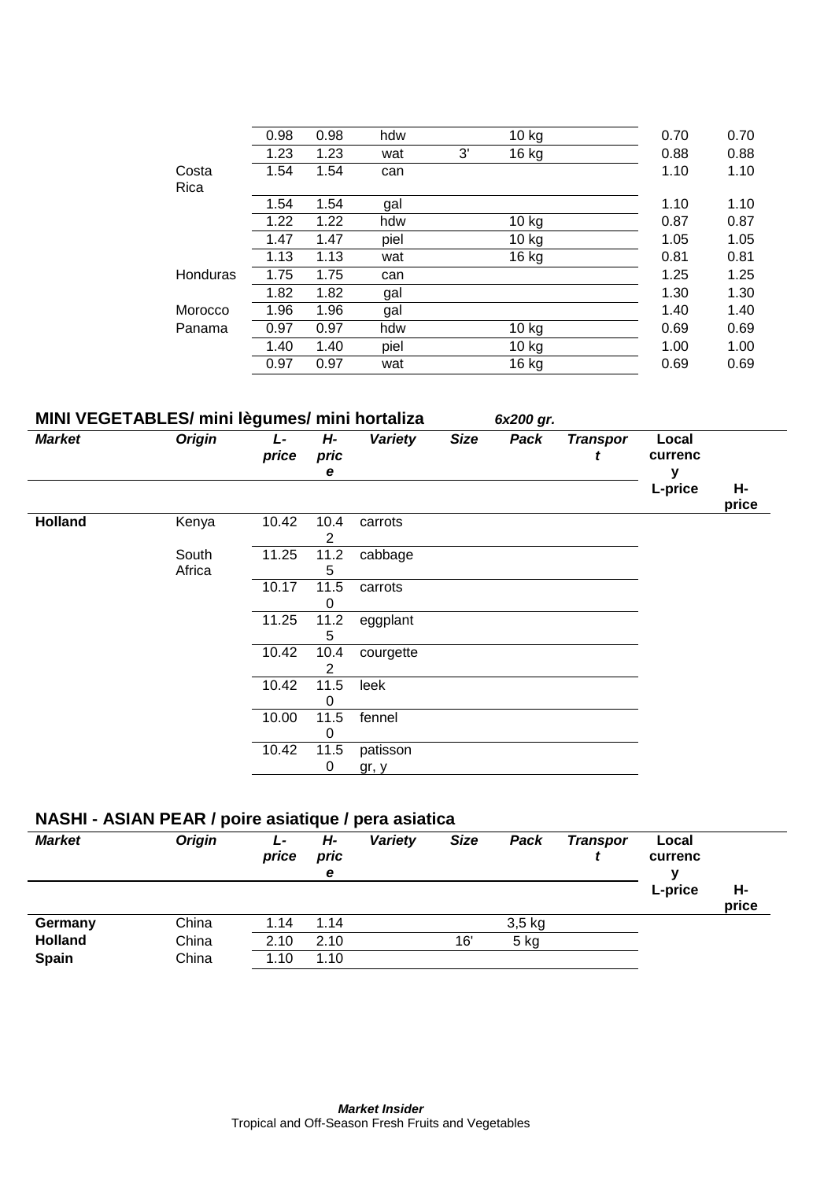|          | 0.98 | 0.98 | hdw  | $10$ kg     | 0.70 | 0.70 |
|----------|------|------|------|-------------|------|------|
|          | 1.23 | 1.23 | wat  | 3'<br>16 kg | 0.88 | 0.88 |
| Costa    | 1.54 | 1.54 | can  |             | 1.10 | 1.10 |
| Rica     |      |      |      |             |      |      |
|          | 1.54 | 1.54 | gal  |             | 1.10 | 1.10 |
|          | 1.22 | 1.22 | hdw  | $10$ kg     | 0.87 | 0.87 |
|          | 1.47 | 1.47 | piel | 10 kg       | 1.05 | 1.05 |
|          | 1.13 | 1.13 | wat  | 16 kg       | 0.81 | 0.81 |
| Honduras | 1.75 | 1.75 | can  |             | 1.25 | 1.25 |
|          | 1.82 | 1.82 | gal  |             | 1.30 | 1.30 |
| Morocco  | 1.96 | 1.96 | gal  |             | 1.40 | 1.40 |
| Panama   | 0.97 | 0.97 | hdw  | $10$ kg     | 0.69 | 0.69 |
|          | 1.40 | 1.40 | piel | $10$ kg     | 1.00 | 1.00 |
|          | 0.97 | 0.97 | wat  | 16 kg       | 0.69 | 0.69 |
|          |      |      |      |             |      |      |

# **MINI VEGETABLES/ mini lègumes/ mini hortaliza** *6x200 gr.*

| <b>Market</b>  | <b>Origin</b>   | L-<br>price | H-<br>pric<br>е | <b>Variety</b> | <b>Size</b> | Pack | <b>Transpor</b> | Local<br>currenc |             |
|----------------|-----------------|-------------|-----------------|----------------|-------------|------|-----------------|------------------|-------------|
|                |                 |             |                 |                |             |      |                 | L-price          | Н-<br>price |
| <b>Holland</b> | Kenya           | 10.42       | 10.4<br>2       | carrots        |             |      |                 |                  |             |
|                | South<br>Africa | 11.25       | 11.2<br>5       | cabbage        |             |      |                 |                  |             |
|                |                 | 10.17       | 11.5<br>0       | carrots        |             |      |                 |                  |             |
|                |                 | 11.25       | 11.2<br>5       | eggplant       |             |      |                 |                  |             |
|                |                 | 10.42       | 10.4<br>2       | courgette      |             |      |                 |                  |             |
|                |                 | 10.42       | 11.5<br>O       | leek           |             |      |                 |                  |             |
|                |                 | 10.00       | 11.5<br>0       | fennel         |             |      |                 |                  |             |
|                |                 | 10.42       | 11.5            | patisson       |             |      |                 |                  |             |
|                |                 |             | 0               | gr, y          |             |      |                 |                  |             |

# **NASHI - ASIAN PEAR / poire asiatique / pera asiatica**

| <b>Market</b>                  | <b>Origin</b>  | Ŀ<br>price   | Н-<br>pric<br>е | Variety | <b>Size</b> | Pack     | <b>Transpor</b> | Local<br>currenc |             |
|--------------------------------|----------------|--------------|-----------------|---------|-------------|----------|-----------------|------------------|-------------|
|                                |                |              |                 |         |             |          |                 | L-price          | н-<br>price |
| Germany                        | China          | 1.14         | 1.14            |         |             | $3,5$ kg |                 |                  |             |
| <b>Holland</b><br><b>Spain</b> | China<br>China | 2.10<br>1.10 | 2.10<br>1.10    |         | 16'         | 5 kg     |                 |                  |             |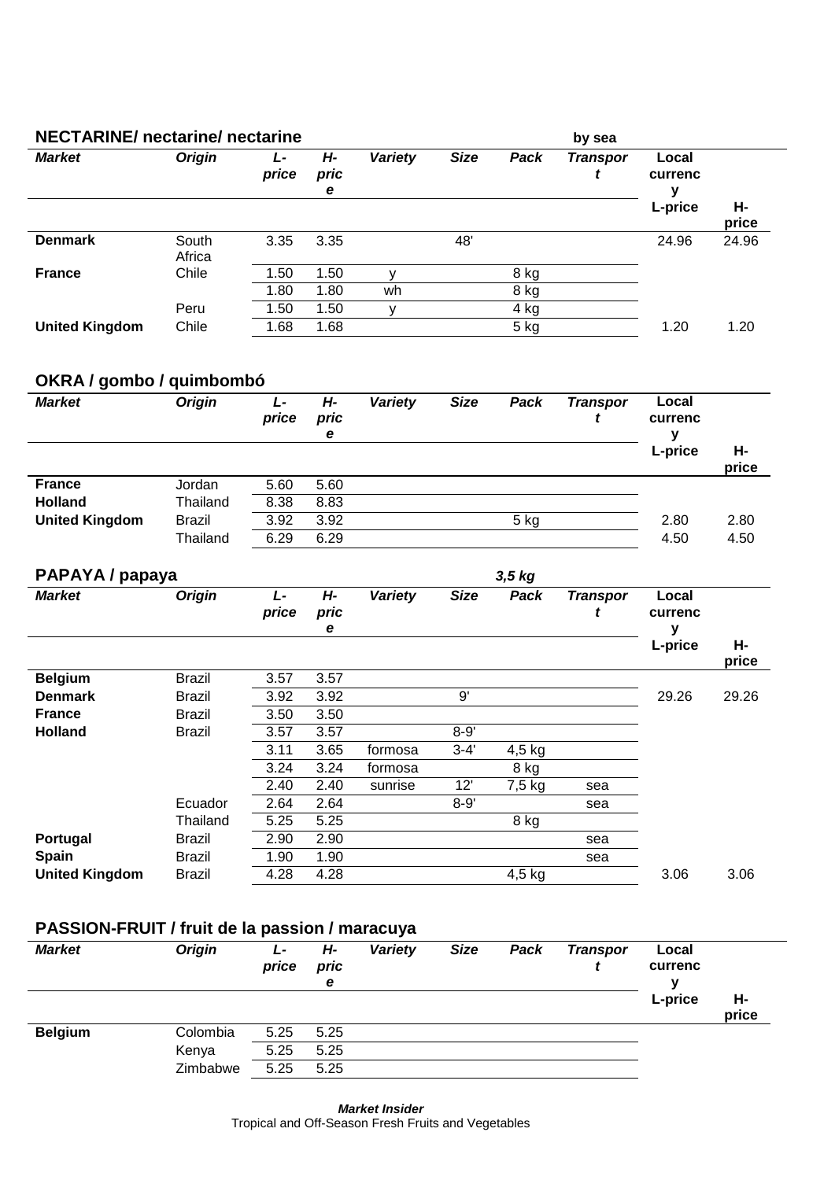| <b>NECTARINE/</b> nectarine/ nectarine |                 |             |                 |         |             |      | by sea          |                  |             |
|----------------------------------------|-----------------|-------------|-----------------|---------|-------------|------|-----------------|------------------|-------------|
| <b>Market</b>                          | <b>Origin</b>   | L-<br>price | H-<br>pric<br>е | Variety | <b>Size</b> | Pack | <b>Transpor</b> | Local<br>currenc |             |
|                                        |                 |             |                 |         |             |      |                 | L-price          | Н-<br>price |
| <b>Denmark</b>                         | South<br>Africa | 3.35        | 3.35            |         | 48'         |      |                 | 24.96            | 24.96       |
| <b>France</b>                          | Chile           | 1.50        | 1.50            | v       |             | 8 kg |                 |                  |             |
|                                        |                 | 1.80        | 1.80            | wh      |             | 8 kg |                 |                  |             |
|                                        | Peru            | 1.50        | 1.50            | v       |             | 4 kg |                 |                  |             |
| <b>United Kingdom</b>                  | Chile           | 1.68        | 1.68            |         |             | 5 kg |                 | 1.20             | 1.20        |

# **OKRA / gombo / quimbombó**

| -<br><b>Market</b>    | <b>Origin</b> | Ŀ<br>price | Н-<br>pric<br>е | Variety | <b>Size</b> | Pack | <b>Transpor</b> | Local<br>currenc<br>L-price | Н-<br>price |
|-----------------------|---------------|------------|-----------------|---------|-------------|------|-----------------|-----------------------------|-------------|
| <b>France</b>         | Jordan        | 5.60       | 5.60            |         |             |      |                 |                             |             |
| <b>Holland</b>        | Thailand      | 8.38       | 8.83            |         |             |      |                 |                             |             |
| <b>United Kingdom</b> | <b>Brazil</b> | 3.92       | 3.92            |         |             | 5 kg |                 | 2.80                        | 2.80        |
|                       | Thailand      | 6.29       | 6.29            |         |             |      |                 | 4.50                        | 4.50        |

| PAPAYA / papaya       |               |             |                 |         |             | $3,5$ kg |                 |                       |             |
|-----------------------|---------------|-------------|-----------------|---------|-------------|----------|-----------------|-----------------------|-------------|
| <b>Market</b>         | <b>Origin</b> | L-<br>price | Н-<br>pric<br>е | Variety | <b>Size</b> | Pack     | <b>Transpor</b> | Local<br>currenc<br>у |             |
|                       |               |             |                 |         |             |          |                 | L-price               | Н-<br>price |
| <b>Belgium</b>        | <b>Brazil</b> | 3.57        | 3.57            |         |             |          |                 |                       |             |
| <b>Denmark</b>        | Brazil        | 3.92        | 3.92            |         | 9'          |          |                 | 29.26                 | 29.26       |
| <b>France</b>         | Brazil        | 3.50        | 3.50            |         |             |          |                 |                       |             |
| <b>Holland</b>        | Brazil        | 3.57        | 3.57            |         | $8 - 9'$    |          |                 |                       |             |
|                       |               | 3.11        | 3.65            | formosa | $3 - 4'$    | $4,5$ kg |                 |                       |             |
|                       |               | 3.24        | 3.24            | formosa |             | 8 kg     |                 |                       |             |
|                       |               | 2.40        | 2.40            | sunrise | 12'         | 7,5 kg   | sea             |                       |             |
|                       | Ecuador       | 2.64        | 2.64            |         | $8 - 9'$    |          | sea             |                       |             |
|                       | Thailand      | 5.25        | 5.25            |         |             | 8 kg     |                 |                       |             |
| Portugal              | Brazil        | 2.90        | 2.90            |         |             |          | sea             |                       |             |
| <b>Spain</b>          | Brazil        | 1.90        | 1.90            |         |             |          | sea             |                       |             |
| <b>United Kingdom</b> | Brazil        | 4.28        | 4.28            |         |             | $4,5$ kg |                 | 3.06                  | 3.06        |

# **PASSION-FRUIT / fruit de la passion / maracuya**

| <b>Market</b>  | <b>Origin</b> | Ŀ<br>price | Н-<br>pric<br>e | Variety | <b>Size</b> | Pack | <b>Transpor</b> | Local<br>currenc<br>v |             |
|----------------|---------------|------------|-----------------|---------|-------------|------|-----------------|-----------------------|-------------|
|                |               |            |                 |         |             |      |                 | L-price               | н-<br>price |
| <b>Belgium</b> | Colombia      | 5.25       | 5.25            |         |             |      |                 |                       |             |
|                | Kenya         | 5.25       | 5.25            |         |             |      |                 |                       |             |
|                | Zimbabwe      | 5.25       | 5.25            |         |             |      |                 |                       |             |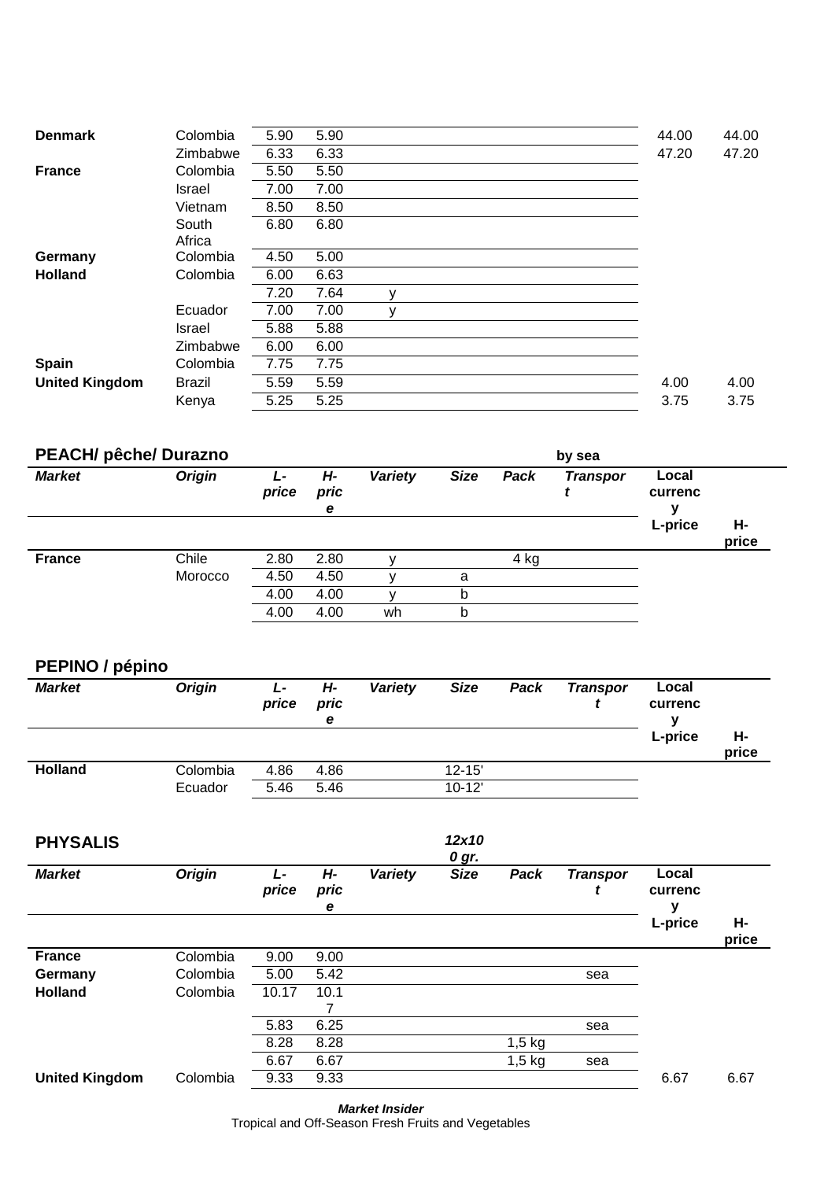| <b>Denmark</b>        | Colombia      | 5.90 | 5.90 |   |  |  | 44.00 | 44.00 |
|-----------------------|---------------|------|------|---|--|--|-------|-------|
|                       | Zimbabwe      | 6.33 | 6.33 |   |  |  | 47.20 | 47.20 |
| <b>France</b>         | Colombia      | 5.50 | 5.50 |   |  |  |       |       |
|                       | <b>Israel</b> | 7.00 | 7.00 |   |  |  |       |       |
|                       | Vietnam       | 8.50 | 8.50 |   |  |  |       |       |
|                       | South         | 6.80 | 6.80 |   |  |  |       |       |
|                       | Africa        |      |      |   |  |  |       |       |
| Germany               | Colombia      | 4.50 | 5.00 |   |  |  |       |       |
| <b>Holland</b>        | Colombia      | 6.00 | 6.63 |   |  |  |       |       |
|                       |               | 7.20 | 7.64 | y |  |  |       |       |
|                       | Ecuador       | 7.00 | 7.00 | v |  |  |       |       |
|                       | Israel        | 5.88 | 5.88 |   |  |  |       |       |
|                       | Zimbabwe      | 6.00 | 6.00 |   |  |  |       |       |
| <b>Spain</b>          | Colombia      | 7.75 | 7.75 |   |  |  |       |       |
| <b>United Kingdom</b> | <b>Brazil</b> | 5.59 | 5.59 |   |  |  | 4.00  | 4.00  |
|                       | Kenya         | 5.25 | 5.25 |   |  |  | 3.75  | 3.75  |
|                       |               |      |      |   |  |  |       |       |

| <b>Origin</b> | Ŀ     |                 |         | <b>PEACH/ pêche/ Durazno</b><br>by sea<br><b>Market</b> |      |                 |                  |             |  |  |  |  |  |  |
|---------------|-------|-----------------|---------|---------------------------------------------------------|------|-----------------|------------------|-------------|--|--|--|--|--|--|
|               | price | H-<br>pric<br>е | Variety | <b>Size</b>                                             | Pack | <b>Transpor</b> | Local<br>currenc |             |  |  |  |  |  |  |
|               |       |                 |         |                                                         |      |                 | L-price          | Н-<br>price |  |  |  |  |  |  |
| Chile         | 2.80  | 2.80            |         |                                                         | 4 kg |                 |                  |             |  |  |  |  |  |  |
| Morocco       | 4.50  | 4.50            |         | a                                                       |      |                 |                  |             |  |  |  |  |  |  |
|               | 4.00  | 4.00            |         | b                                                       |      |                 |                  |             |  |  |  |  |  |  |
|               | 4.00  | 4.00            | wh      | b                                                       |      |                 |                  |             |  |  |  |  |  |  |
|               |       |                 |         |                                                         |      |                 |                  |             |  |  |  |  |  |  |

# **PEPINO / pépino**

| <b>Market</b>  | <b>Origin</b> | L-<br>price | Н-<br>pric<br>е | Variety | <b>Size</b> | Pack | <b>Transpor</b> | Local<br>currenc |             |
|----------------|---------------|-------------|-----------------|---------|-------------|------|-----------------|------------------|-------------|
|                |               |             |                 |         |             |      |                 | L-price          | н-<br>price |
| <b>Holland</b> | Colombia      | 4.86        | 4.86            |         | $12 - 15'$  |      |                 |                  |             |
|                | Ecuador       | 5.46        | 5.46            |         | $10-12'$    |      |                 |                  |             |

| <b>PHYSALIS</b>       |               |            |                 |         | 12x10<br>0 gr. |          |                 |                       |             |
|-----------------------|---------------|------------|-----------------|---------|----------------|----------|-----------------|-----------------------|-------------|
| <b>Market</b>         | <b>Origin</b> | Ŀ<br>price | Н-<br>pric<br>е | Variety | <b>Size</b>    | Pack     | <b>Transpor</b> | Local<br>currenc<br>у |             |
|                       |               |            |                 |         |                |          |                 | L-price               | Н-<br>price |
| <b>France</b>         | Colombia      | 9.00       | 9.00            |         |                |          |                 |                       |             |
| Germany               | Colombia      | 5.00       | 5.42            |         |                |          | sea             |                       |             |
| <b>Holland</b>        | Colombia      | 10.17      | 10.1            |         |                |          |                 |                       |             |
|                       |               | 5.83       | 6.25            |         |                |          | sea             |                       |             |
|                       |               | 8.28       | 8.28            |         |                | $1,5$ kg |                 |                       |             |
|                       |               | 6.67       | 6.67            |         |                | $1,5$ kg | sea             |                       |             |
| <b>United Kingdom</b> | Colombia      | 9.33       | 9.33            |         |                |          |                 | 6.67                  | 6.67        |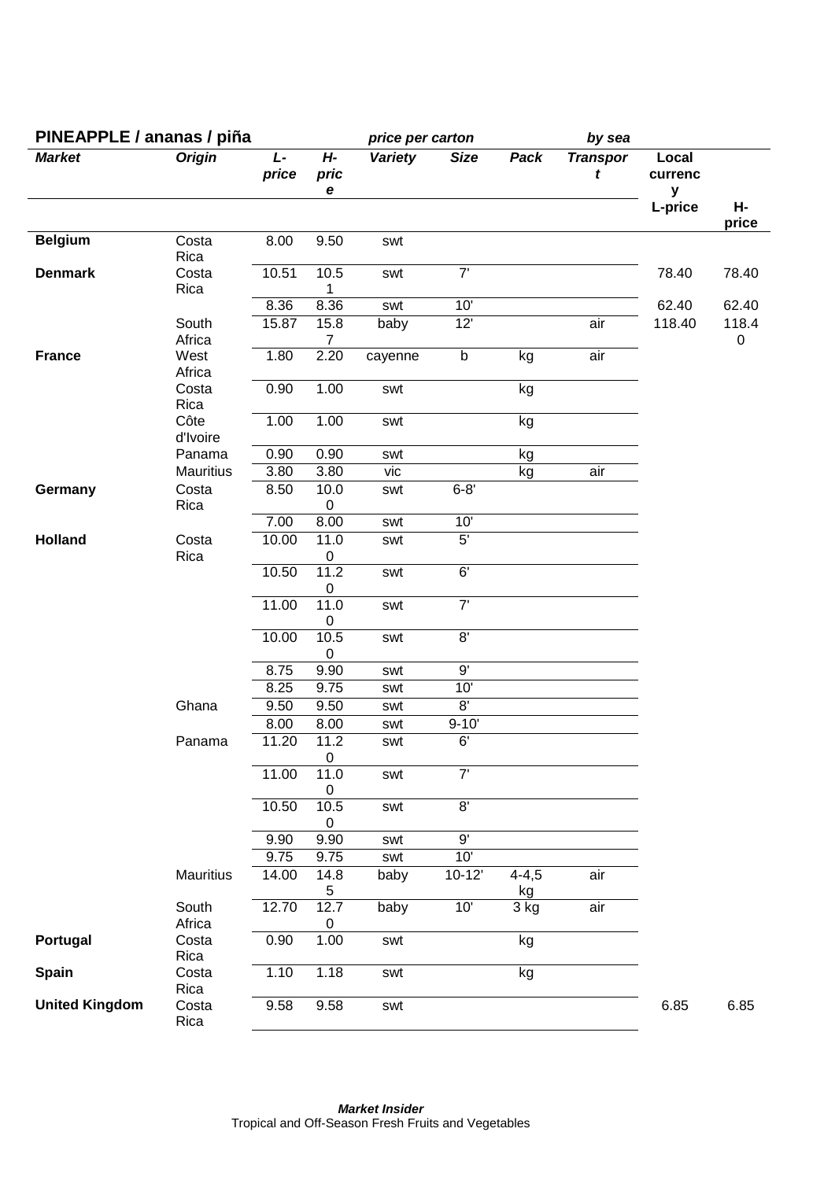| PINEAPPLE / ananas / piña |                  |             |                        | price per carton |                |                 | by sea               |                       |             |
|---------------------------|------------------|-------------|------------------------|------------------|----------------|-----------------|----------------------|-----------------------|-------------|
| <b>Market</b>             | <b>Origin</b>    | L-<br>price | H-<br>pric<br>e        | <b>Variety</b>   | <b>Size</b>    | Pack            | <b>Transpor</b><br>t | Local<br>currenc<br>y |             |
|                           |                  |             |                        |                  |                |                 |                      | L-price               | н-<br>price |
| <b>Belgium</b>            | Costa<br>Rica    | 8.00        | 9.50                   | swt              |                |                 |                      |                       |             |
| <b>Denmark</b>            | Costa<br>Rica    | 10.51       | 10.5<br>1              | swt              | 7'             |                 |                      | 78.40                 | 78.40       |
|                           |                  | 8.36        | 8.36                   | swt              | 10'            |                 |                      | 62.40                 | 62.40       |
|                           | South<br>Africa  | 15.87       | 15.8<br>$\overline{7}$ | baby             | 12'            |                 | air                  | 118.40                | 118.4<br>0  |
| <b>France</b>             | West<br>Africa   | 1.80        | 2.20                   | cayenne          | $\sf b$        | kg              | air                  |                       |             |
|                           | Costa<br>Rica    | 0.90        | 1.00                   | swt              |                | kg              |                      |                       |             |
|                           | Côte<br>d'Ivoire | 1.00        | 1.00                   | swt              |                | kg              |                      |                       |             |
|                           | Panama           | 0.90        | 0.90                   | swt              |                | kg              |                      |                       |             |
|                           | Mauritius        | 3.80        | 3.80                   | vic              |                | kg              | air                  |                       |             |
| Germany                   | Costa<br>Rica    | 8.50        | 10.0<br>$\pmb{0}$      | swt              | $6 - 8'$       |                 |                      |                       |             |
|                           |                  | 7.00        | 8.00                   | swt              | 10'            |                 |                      |                       |             |
| <b>Holland</b>            | Costa<br>Rica    | 10.00       | 11.0<br>$\pmb{0}$      | swt              | 5 <sup>7</sup> |                 |                      |                       |             |
|                           |                  | 10.50       | 11.2<br>0              | swt              | 6'             |                 |                      |                       |             |
|                           |                  | 11.00       | 11.0<br>0              | swt              | 7'             |                 |                      |                       |             |
|                           |                  | 10.00       | 10.5<br>0              | swt              | 8'             |                 |                      |                       |             |
|                           |                  | 8.75        | 9.90                   | swt              | 9'             |                 |                      |                       |             |
|                           |                  | 8.25        | 9.75                   | swt              | 10'            |                 |                      |                       |             |
|                           | Ghana            | 9.50        | 9.50                   | swt              | 8'             |                 |                      |                       |             |
|                           |                  | 8.00        | 8.00                   | swt              | $9 - 10'$      |                 |                      |                       |             |
|                           | Panama           | 11.20       | 11.2<br>0              | swt              | 6'             |                 |                      |                       |             |
|                           |                  | 11.00       | 11.0<br>$\pmb{0}$      | swt              | $7'$           |                 |                      |                       |             |
|                           |                  | 10.50       | 10.5<br>0              | swt              | $\overline{8}$ |                 |                      |                       |             |
|                           |                  | 9.90        | 9.90                   | swt              | $9^{\circ}$    |                 |                      |                       |             |
|                           |                  | 9.75        | 9.75                   | swt              | 10'            |                 |                      |                       |             |
|                           | Mauritius        | 14.00       | 14.8<br>5              | baby             | $10-12'$       | $4 - 4,5$<br>kg | air                  |                       |             |
|                           | South<br>Africa  | 12.70       | 12.7<br>0              | baby             | 10'            | 3 kg            | air                  |                       |             |
| Portugal                  | Costa<br>Rica    | 0.90        | 1.00                   | swt              |                | kg              |                      |                       |             |
| Spain                     | Costa<br>Rica    | 1.10        | 1.18                   | swt              |                | kg              |                      |                       |             |
| <b>United Kingdom</b>     | Costa<br>Rica    | 9.58        | 9.58                   | swt              |                |                 |                      | 6.85                  | 6.85        |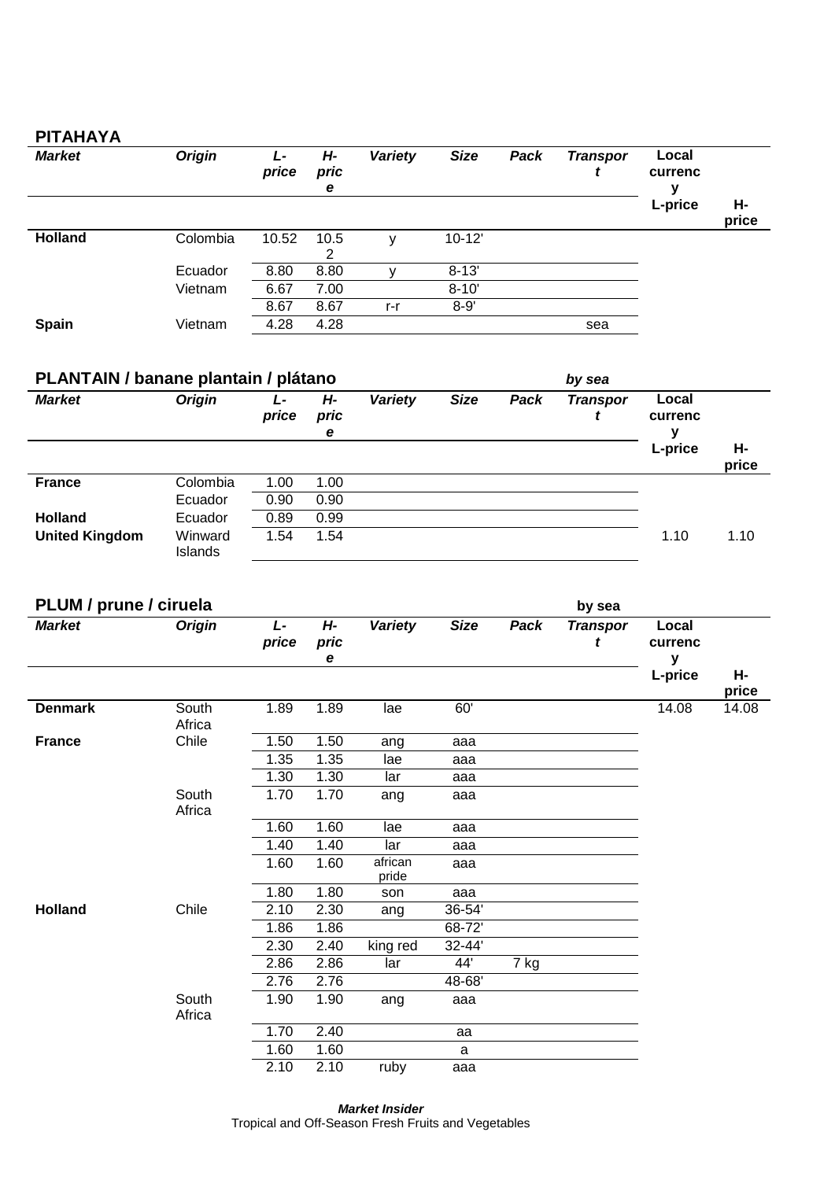### **PITAHAYA**

| <b>Market</b>  | <b>Origin</b> | Ŀ<br>price | H-<br>pric<br>e | Variety | <b>Size</b> | Pack | <b>Transpor</b> | Local<br>currenc |             |
|----------------|---------------|------------|-----------------|---------|-------------|------|-----------------|------------------|-------------|
|                |               |            |                 |         |             |      |                 | L-price          | Н-<br>price |
| <b>Holland</b> | Colombia      | 10.52      | 10.5<br>2       |         | $10 - 12'$  |      |                 |                  |             |
|                | Ecuador       | 8.80       | 8.80            |         | $8 - 13'$   |      |                 |                  |             |
|                | Vietnam       | 6.67       | 7.00            |         | $8 - 10'$   |      |                 |                  |             |
|                |               | 8.67       | 8.67            | r-r     | $8 - 9'$    |      |                 |                  |             |
| <b>Spain</b>   | Vietnam       | 4.28       | 4.28            |         |             |      | sea             |                  |             |

| PLANTAIN / banane plantain / plátano |                    |            |                 | by sea  |             |      |                 |                       |             |
|--------------------------------------|--------------------|------------|-----------------|---------|-------------|------|-----------------|-----------------------|-------------|
| <b>Market</b>                        | <b>Origin</b>      | Ŀ<br>price | H-<br>pric<br>е | Variety | <b>Size</b> | Pack | <b>Transpor</b> | Local<br>currenc<br>v |             |
|                                      |                    |            |                 |         |             |      |                 | L-price               | Н-<br>price |
| <b>France</b>                        | Colombia           | 1.00       | 1.00            |         |             |      |                 |                       |             |
|                                      | Ecuador            | 0.90       | 0.90            |         |             |      |                 |                       |             |
| <b>Holland</b>                       | Ecuador            | 0.89       | 0.99            |         |             |      |                 |                       |             |
| <b>United Kingdom</b>                | Winward<br>Islands | 1.54       | 1.54            |         |             |      |                 | 1.10                  | 1.10        |

| PLUM / prune / ciruela |                 |             |                 |                  |             |      | by sea               |                       |             |
|------------------------|-----------------|-------------|-----------------|------------------|-------------|------|----------------------|-----------------------|-------------|
| <b>Market</b>          | <b>Origin</b>   | L-<br>price | H-<br>pric<br>е | <b>Variety</b>   | <b>Size</b> | Pack | <b>Transpor</b><br>t | Local<br>currenc<br>у |             |
|                        |                 |             |                 |                  |             |      |                      | L-price               | Н-<br>price |
| <b>Denmark</b>         | South<br>Africa | 1.89        | 1.89            | lae              | 60'         |      |                      | 14.08                 | 14.08       |
| <b>France</b>          | Chile           | 1.50        | 1.50            | ang              | aaa         |      |                      |                       |             |
|                        |                 | 1.35        | 1.35            | lae              | aaa         |      |                      |                       |             |
|                        |                 | 1.30        | 1.30            | lar              | aaa         |      |                      |                       |             |
|                        | South<br>Africa | 1.70        | 1.70            | ang              | aaa         |      |                      |                       |             |
|                        |                 | 1.60        | 1.60            | lae              | aaa         |      |                      |                       |             |
|                        |                 | 1.40        | 1.40            | lar              | aaa         |      |                      |                       |             |
|                        |                 | 1.60        | 1.60            | african<br>pride | aaa         |      |                      |                       |             |
|                        |                 | 1.80        | 1.80            | son              | aaa         |      |                      |                       |             |
| <b>Holland</b>         | Chile           | 2.10        | 2.30            | ang              | 36-54'      |      |                      |                       |             |
|                        |                 | 1.86        | 1.86            |                  | 68-72'      |      |                      |                       |             |
|                        |                 | 2.30        | 2.40            | king red         | 32-44'      |      |                      |                       |             |
|                        |                 | 2.86        | 2.86            | lar              | 44'         | 7 kg |                      |                       |             |
|                        |                 | 2.76        | 2.76            |                  | 48-68'      |      |                      |                       |             |
|                        | South<br>Africa | 1.90        | 1.90            | ang              | aaa         |      |                      |                       |             |
|                        |                 | 1.70        | 2.40            |                  | aa          |      |                      |                       |             |
|                        |                 | 1.60        | 1.60            |                  | a           |      |                      |                       |             |
|                        |                 | 2.10        | 2.10            | ruby             | aaa         |      |                      |                       |             |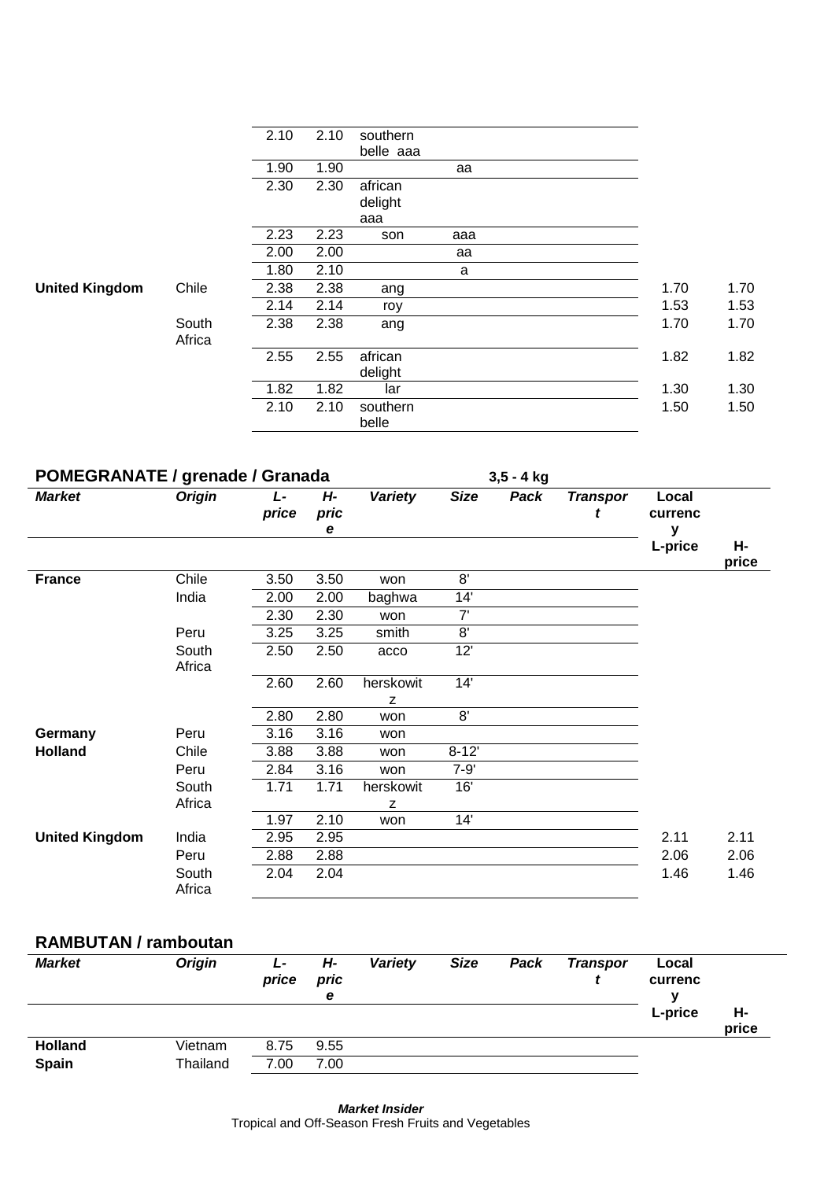|                       |                 | 2.10 | 2.10 | southern  |     |      |      |
|-----------------------|-----------------|------|------|-----------|-----|------|------|
|                       |                 |      |      | belle aaa |     |      |      |
|                       |                 | 1.90 | 1.90 |           | aa  |      |      |
|                       |                 | 2.30 | 2.30 | african   |     |      |      |
|                       |                 |      |      | delight   |     |      |      |
|                       |                 |      |      | aaa       |     |      |      |
|                       |                 | 2.23 | 2.23 | son       | aaa |      |      |
|                       |                 | 2.00 | 2.00 |           | aa  |      |      |
|                       |                 | 1.80 | 2.10 |           | a   |      |      |
| <b>United Kingdom</b> | Chile           | 2.38 | 2.38 | ang       |     | 1.70 | 1.70 |
|                       |                 | 2.14 | 2.14 | roy       |     | 1.53 | 1.53 |
|                       | South<br>Africa | 2.38 | 2.38 | ang       |     | 1.70 | 1.70 |
|                       |                 | 2.55 | 2.55 | african   |     | 1.82 | 1.82 |
|                       |                 |      |      | delight   |     |      |      |
|                       |                 | 1.82 | 1.82 | lar       |     | 1.30 | 1.30 |
|                       |                 | 2.10 | 2.10 | southern  |     | 1.50 | 1.50 |
|                       |                 |      |      | belle     |     |      |      |

| <b>POMEGRANATE / grenade / Granada</b> |                 |             |                 |                |             | $3,5 - 4$ kg |                      |                       |             |
|----------------------------------------|-----------------|-------------|-----------------|----------------|-------------|--------------|----------------------|-----------------------|-------------|
| <b>Market</b>                          | <b>Origin</b>   | L-<br>price | Н-<br>pric<br>е | <b>Variety</b> | <b>Size</b> | Pack         | <b>Transpor</b><br>t | Local<br>currenc<br>v |             |
|                                        |                 |             |                 |                |             |              |                      | L-price               | Н-<br>price |
| <b>France</b>                          | Chile           | 3.50        | 3.50            | won            | 8'          |              |                      |                       |             |
|                                        | India           | 2.00        | 2.00            | baghwa         | 14'         |              |                      |                       |             |
|                                        |                 | 2.30        | 2.30            | won            | 7'          |              |                      |                       |             |
|                                        | Peru            | 3.25        | 3.25            | smith          | 8'          |              |                      |                       |             |
|                                        | South<br>Africa | 2.50        | 2.50            | acco           | 12'         |              |                      |                       |             |
|                                        |                 | 2.60        | 2.60            | herskowit      | 14'         |              |                      |                       |             |
|                                        |                 |             |                 | Z              |             |              |                      |                       |             |
|                                        |                 | 2.80        | 2.80            | won            | 8'          |              |                      |                       |             |
| Germany                                | Peru            | 3.16        | 3.16            | won            |             |              |                      |                       |             |
| <b>Holland</b>                         | Chile           | 3.88        | 3.88            | won            | $8 - 12'$   |              |                      |                       |             |
|                                        | Peru            | 2.84        | 3.16            | won            | $7 - 9'$    |              |                      |                       |             |
|                                        | South           | 1.71        | 1.71            | herskowit      | 16'         |              |                      |                       |             |
|                                        | Africa          |             |                 | z              |             |              |                      |                       |             |
|                                        |                 | 1.97        | 2.10            | won            | 14'         |              |                      |                       |             |
| <b>United Kingdom</b>                  | India           | 2.95        | 2.95            |                |             |              |                      | 2.11                  | 2.11        |
|                                        | Peru            | 2.88        | 2.88            |                |             |              |                      | 2.06                  | 2.06        |
|                                        | South<br>Africa | 2.04        | 2.04            |                |             |              |                      | 1.46                  | 1.46        |

#### **RAMBUTAN / ramboutan**

| <b>Market</b>  | <b>Origin</b> | Ŀ<br>price | Н-<br>pric<br>e | Variety | <b>Size</b> | Pack | <b>Transpor</b> | Local<br>currenc |             |
|----------------|---------------|------------|-----------------|---------|-------------|------|-----------------|------------------|-------------|
|                |               |            |                 |         |             |      |                 | L-price          | н-<br>price |
| <b>Holland</b> | Vietnam       | 8.75       | 9.55            |         |             |      |                 |                  |             |
| Spain          | Thailand      | 7.00       | 7.00            |         |             |      |                 |                  |             |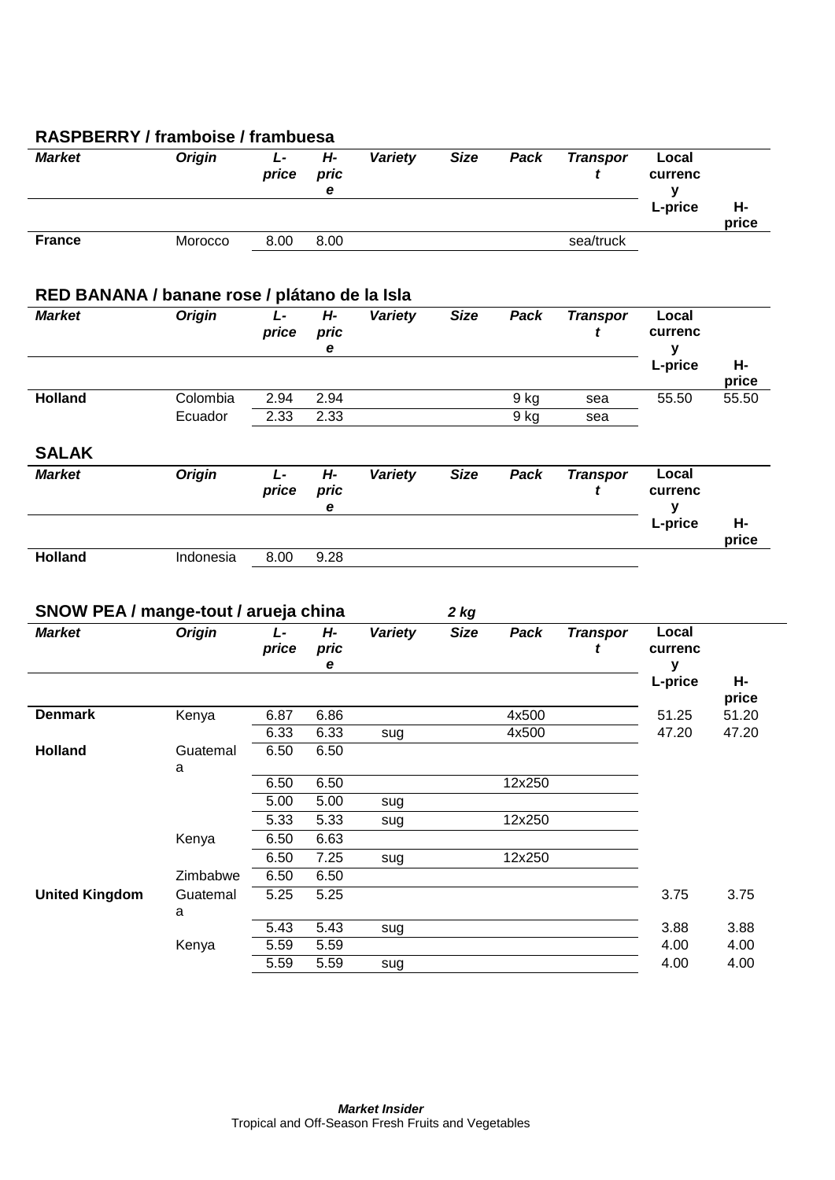| <b>Market</b>                                         | <b>Origin</b> | $L -$<br>price | $H -$<br>pric<br>$\mathbf e$ | <b>Variety</b> | <b>Size</b>           | Pack   | <b>Transpor</b><br>t | Local<br>currenc<br>y |             |
|-------------------------------------------------------|---------------|----------------|------------------------------|----------------|-----------------------|--------|----------------------|-----------------------|-------------|
|                                                       |               |                |                              |                |                       |        |                      | L-price               | Н-<br>price |
| <b>France</b>                                         | Morocco       | 8.00           | 8.00                         |                |                       |        | sea/truck            |                       |             |
| RED BANANA / banane rose / plátano de la Isla         |               |                |                              |                |                       |        |                      |                       |             |
| <b>Market</b>                                         | <b>Origin</b> | L-             | $H -$                        | <b>Variety</b> | <b>Size</b>           | Pack   | <b>Transpor</b>      | Local                 |             |
|                                                       |               | price          | pric<br>е                    |                |                       |        | t                    | currenc<br>y          |             |
|                                                       |               |                |                              |                |                       |        |                      | L-price               | Н-<br>price |
| <b>Holland</b>                                        | Colombia      | 2.94           | 2.94                         |                |                       | 9 kg   | sea                  | 55.50                 | 55.50       |
|                                                       | Ecuador       | 2.33           | 2.33                         |                |                       | 9 kg   | sea                  |                       |             |
| <b>SALAK</b>                                          |               |                |                              |                |                       |        |                      |                       |             |
| <b>Market</b>                                         | <b>Origin</b> | $L -$          | $H -$                        | <b>Variety</b> | <b>Size</b>           | Pack   | <b>Transpor</b>      | Local                 |             |
|                                                       |               | price          | pric<br>е                    |                |                       |        | t                    | currenc<br>y          |             |
|                                                       |               |                |                              |                |                       |        |                      | L-price               | Н-<br>price |
| <b>Holland</b>                                        | Indonesia     | 8.00           | 9.28                         |                |                       |        |                      |                       |             |
| SNOW PEA / mange-tout / arueja china<br><b>Market</b> | <b>Origin</b> | L-<br>price    | $H -$<br>pric                | Variety        | $2$ kg<br><b>Size</b> | Pack   | <b>Transpor</b><br>t | Local<br>currenc      |             |
|                                                       |               |                | e                            |                |                       |        |                      | у<br>L-price          | Н-          |
|                                                       |               |                |                              |                |                       |        |                      |                       | price       |
| <b>Denmark</b>                                        | Kenya         | 6.87           | 6.86                         |                |                       | 4x500  |                      | 51.25                 | 51.20       |
|                                                       |               | 6.33           | 6.33                         | sug            |                       | 4x500  |                      | 47.20                 | 47.20       |
| <b>Holland</b>                                        | Guatemal<br>a | 6.50           | 6.50                         |                |                       |        |                      |                       |             |
|                                                       |               | 6.50           | 6.50                         |                |                       | 12x250 |                      |                       |             |
|                                                       |               | 5.00           | 5.00                         | sug            |                       |        |                      |                       |             |
|                                                       |               | 5.33           | 5.33                         | sug            |                       | 12x250 |                      |                       |             |
|                                                       | Kenya         | 6.50<br>6.50   | 6.63<br>7.25                 | sug            |                       | 12x250 |                      |                       |             |
|                                                       |               |                |                              |                |                       |        |                      |                       |             |
|                                                       |               |                |                              |                |                       |        |                      |                       |             |
|                                                       | Zimbabwe      | 6.50           | 6.50                         |                |                       |        |                      |                       |             |
|                                                       | Guatemal      | 5.25           | 5.25                         |                |                       |        |                      | 3.75                  | 3.75        |
| <b>United Kingdom</b>                                 | a             | 5.43           | 5.43                         | sug            |                       |        |                      | 3.88                  | 3.88        |
|                                                       | Kenya         | 5.59           | 5.59                         |                |                       |        |                      | 4.00                  | 4.00        |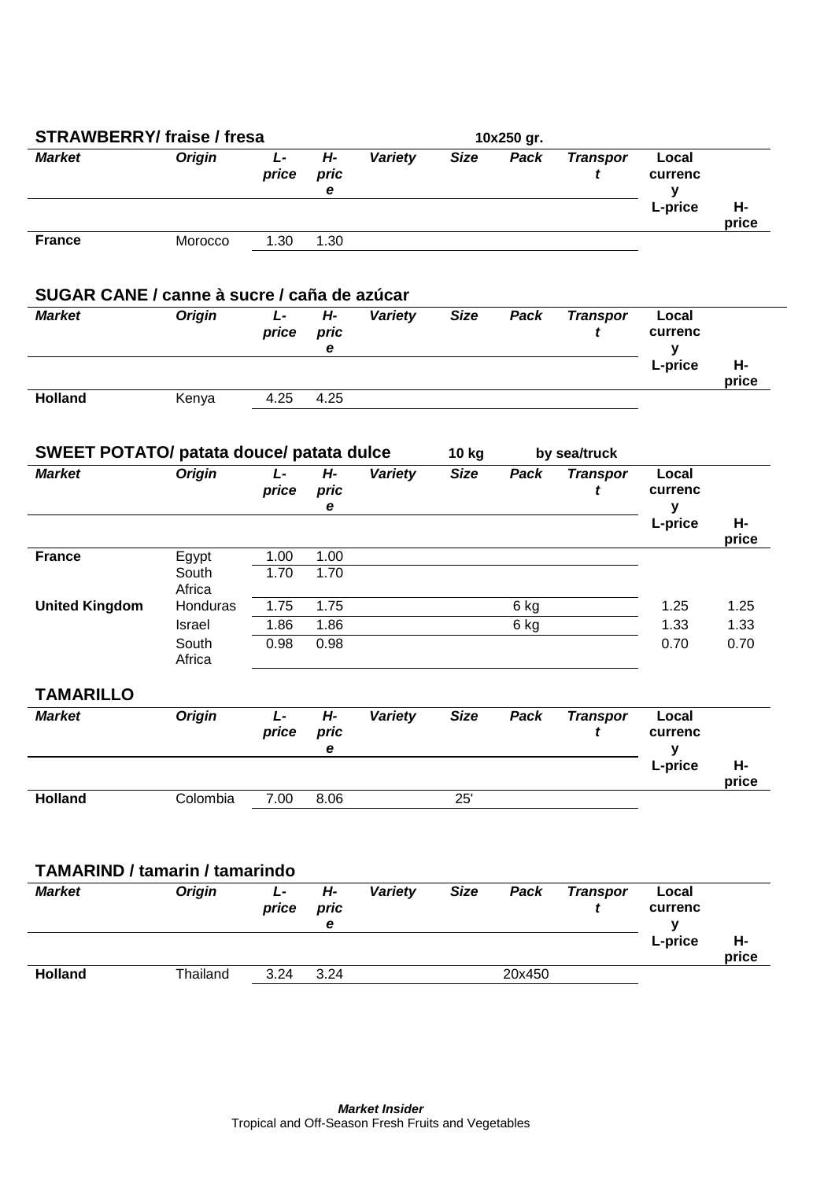| <b>STRAWBERRY/ fraise / fresa</b>               |                          |                |                    |                |             | 10x250 gr. |                      |                                  |             |
|-------------------------------------------------|--------------------------|----------------|--------------------|----------------|-------------|------------|----------------------|----------------------------------|-------------|
| <b>Market</b>                                   | <b>Origin</b>            | L-<br>price    | $H -$<br>pric<br>е | Variety        | <b>Size</b> | Pack       | <b>Transpor</b><br>t | Local<br>currenc<br>У<br>L-price | Н-          |
| <b>France</b>                                   | Morocco                  | 1.30           | 1.30               |                |             |            |                      |                                  | price       |
| SUGAR CANE / canne à sucre / caña de azúcar     |                          |                |                    |                |             |            |                      |                                  |             |
| <b>Market</b>                                   | <b>Origin</b>            | $L -$<br>price | $H -$<br>pric<br>е | Variety        | <b>Size</b> | Pack       | <b>Transpor</b><br>t | Local<br>currenc<br>y            |             |
|                                                 |                          |                |                    |                |             |            |                      | L-price                          | н-<br>price |
| <b>Holland</b>                                  | Kenya                    | 4.25           | 4.25               |                |             |            |                      |                                  |             |
| <b>SWEET POTATO/ patata douce/ patata dulce</b> |                          |                |                    |                | 10 kg       |            | by sea/truck         |                                  |             |
| <b>Market</b>                                   | <b>Origin</b>            | $L -$<br>price | $H -$<br>pric<br>е | <b>Variety</b> | <b>Size</b> | Pack       | <b>Transpor</b><br>t | Local<br>currenc<br>у            |             |
|                                                 |                          |                |                    |                |             |            |                      | L-price                          | Н-<br>price |
| <b>France</b>                                   | Egypt<br>South<br>Africa | 1.00<br>1.70   | 1.00<br>1.70       |                |             |            |                      |                                  |             |
| <b>United Kingdom</b>                           | Honduras                 | 1.75           | 1.75               |                |             | 6 kg       |                      | 1.25                             | 1.25        |
|                                                 | Israel                   | 1.86           | 1.86               |                |             | 6 kg       |                      | 1.33                             | 1.33        |
|                                                 | South<br>Africa          | 0.98           | 0.98               |                |             |            |                      | 0.70                             | 0.70        |
| <b>TAMARILLO</b>                                |                          |                |                    |                |             |            |                      |                                  |             |
| <b>Market</b>                                   | <b>Origin</b>            | L-<br>price    | H-<br>pric<br>e    | <b>Variety</b> | <b>Size</b> | Pack       | <b>Transpor</b><br>t | Local<br>currenc<br>у<br>L-price | Н-          |
| <b>Holland</b>                                  | Colombia                 | 7.00           | 8.06               |                | 25'         |            |                      |                                  | price       |
|                                                 |                          |                |                    |                |             |            |                      |                                  |             |
| <b>TAMARIND / tamarin / tamarindo</b>           |                          |                |                    |                |             |            |                      |                                  |             |
| <b>Market</b>                                   | <b>Origin</b>            | L-<br>price    | H-<br>pric<br>е    | Variety        | <b>Size</b> | Pack       | <b>Transpor</b><br>t | Local<br>currenc<br>y            |             |
|                                                 |                          |                |                    |                |             |            |                      | L-price                          | Н-<br>price |
| <b>Holland</b>                                  | Thailand                 | 3.24           | 3.24               |                |             | 20x450     |                      |                                  |             |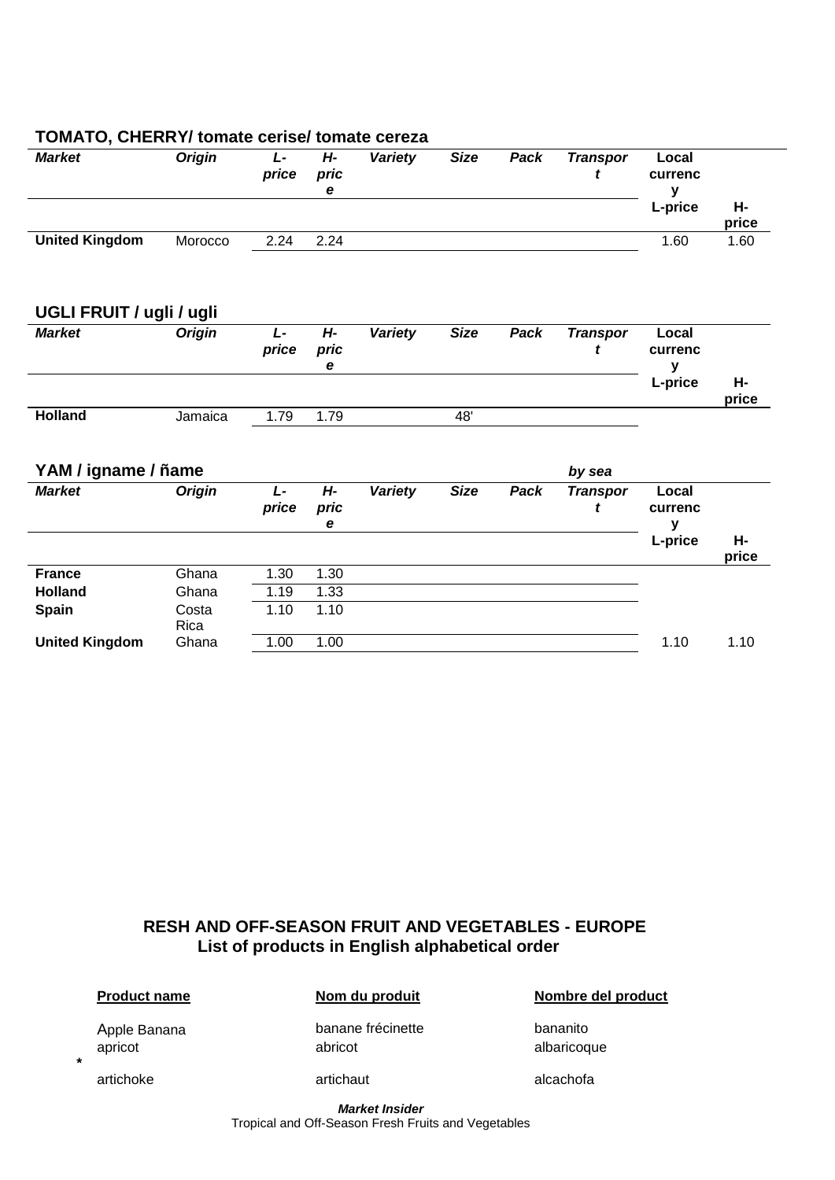| <b>Market</b>            | <b>Origin</b> | L-<br>price    | Н-<br>pric<br>e    | <b>Variety</b> | <b>Size</b> | Pack | <b>Transpor</b><br>t | Local<br>currenc<br>$\mathbf y$ |             |
|--------------------------|---------------|----------------|--------------------|----------------|-------------|------|----------------------|---------------------------------|-------------|
|                          |               |                |                    |                |             |      |                      | L-price                         | н-<br>price |
| <b>United Kingdom</b>    | Morocco       | 2.24           | 2.24               |                |             |      |                      | 1.60                            | 1.60        |
| UGLI FRUIT / ugli / ugli |               |                |                    |                |             |      |                      |                                 |             |
| <b>Market</b>            | <b>Origin</b> | $L -$<br>price | $H -$<br>pric<br>е | <b>Variety</b> | <b>Size</b> | Pack | <b>Transpor</b><br>t | Local<br>currenc<br>y           |             |
|                          |               |                |                    |                |             |      |                      | L-price                         | н-<br>price |
| <b>Holland</b>           | Jamaica       | 1.79           | 1.79               |                | 48'         |      |                      |                                 |             |
| YAM / igname / ñame      |               |                |                    |                |             |      | by sea               |                                 |             |
| <b>Market</b>            | <b>Origin</b> | $L -$<br>price | $H -$<br>pric<br>е | Variety        | <b>Size</b> | Pack | <b>Transpor</b><br>t | Local<br>currenc<br>y           |             |
|                          |               |                |                    |                |             |      |                      | L-price                         | Н-<br>price |
| <b>France</b>            | Ghana         | 1.30           | 1.30               |                |             |      |                      |                                 |             |
| <b>Holland</b>           | Ghana         | 1.19           | 1.33               |                |             |      |                      |                                 |             |
| <b>Spain</b>             | Costa<br>Rica | 1.10           | 1.10               |                |             |      |                      |                                 |             |
| <b>United Kingdom</b>    | Ghana         | 1.00           | 1.00               |                |             |      |                      | 1.10                            | 1.10        |

#### **TOMATO, CHERRY/ tomate cerise/ tomate cereza**

#### **RESH AND OFF-SEASON FRUIT AND VEGETABLES - EUROPE List of products in English alphabetical order**

**Product name Nom du produit Nombre del product**

Apple Banana **banane frécinette** bananito apricot abricot abricot abricot albaricoque

**artichoke** artichaut artichaut artichaut alcachofa

**\***

*Market Insider* Tropical and Off-Season Fresh Fruits and Vegetables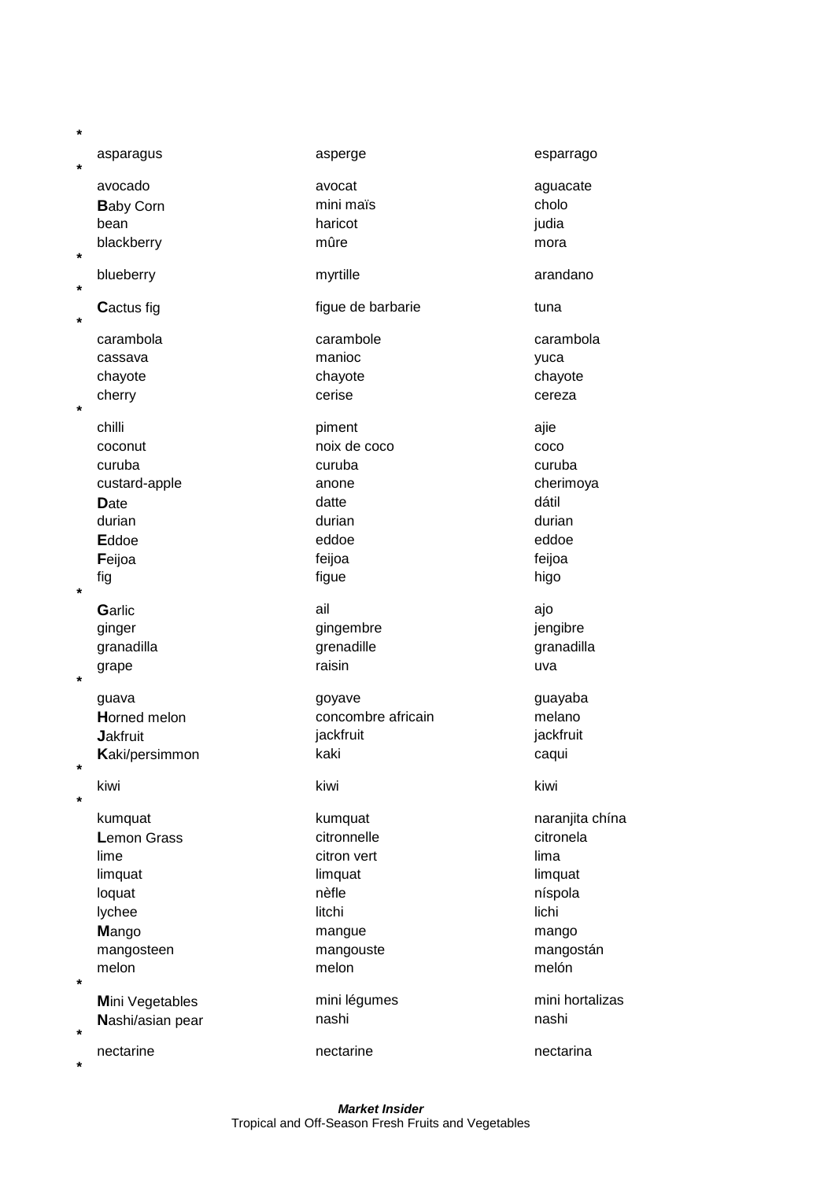| *       |                    |                    |                 |
|---------|--------------------|--------------------|-----------------|
| $\star$ | asparagus          | asperge            | esparrago       |
|         | avocado            | avocat             | aguacate        |
|         | <b>Baby Corn</b>   | mini maïs          | cholo           |
|         | bean               | haricot            | judia           |
| $\ast$  | blackberry         | mûre               | mora            |
| *       | blueberry          | myrtille           | arandano        |
| $\ast$  | <b>Cactus fig</b>  | figue de barbarie  | tuna            |
|         | carambola          | carambole          | carambola       |
|         | cassava            | manioc             | yuca            |
|         | chayote            | chayote            | chayote         |
| $\star$ | cherry             | cerise             | cereza          |
|         | chilli             | piment             | ajie            |
|         | coconut            | noix de coco       | coco            |
|         | curuba             | curuba             | curuba          |
|         | custard-apple      | anone              | cherimoya       |
|         | <b>D</b> ate       | datte              | dátil           |
|         | durian             | durian             | durian          |
|         | Eddoe              | eddoe              | eddoe           |
|         | Feijoa             | feijoa             | feijoa          |
| $\ast$  | fig                | figue              | higo            |
|         | Garlic             | ail                | ajo             |
|         | ginger             | gingembre          | jengibre        |
|         | granadilla         | grenadille         | granadilla      |
| $\star$ | grape              | raisin             | uva             |
|         | guava              | goyave             | guayaba         |
|         | Horned melon       | concombre africain | melano          |
|         | <b>Jakfruit</b>    | jackfruit          | jackfruit       |
|         | Kaki/persimmon     | kaki               | caqui           |
| $\star$ | kiwi               | kiwi               | kiwi            |
| $\ast$  |                    |                    |                 |
|         | kumquat            | kumquat            | naranjita chína |
|         | <b>Lemon Grass</b> | citronnelle        | citronela       |
|         | lime               | citron vert        | lima            |
|         | limquat            | limquat            | limquat         |
|         | loquat             | nèfle              | níspola         |
|         | lychee             | litchi             | lichi           |
|         | Mango              | mangue             | mango           |
|         | mangosteen         | mangouste          | mangostán       |
| $\star$ | melon              | melon              | melón           |
|         | Mini Vegetables    | mini légumes       | mini hortalizas |
| $\ast$  | Nashi/asian pear   | nashi              | nashi           |
|         | nectarine          | nectarine          | nectarina       |
| $\star$ |                    |                    |                 |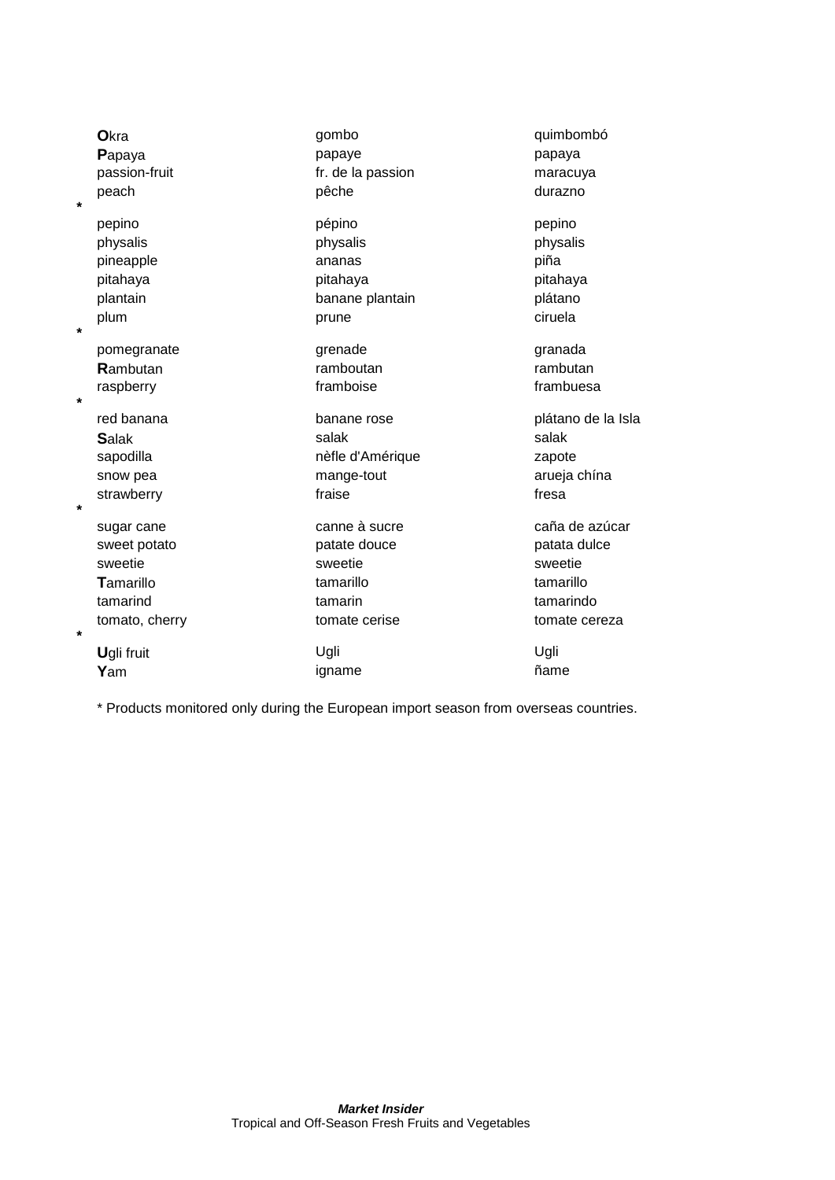| Okra                      | gombo             | quimbombó          |
|---------------------------|-------------------|--------------------|
| Papaya                    | papaye            | papaya             |
| passion-fruit             | fr. de la passion | maracuya           |
| peach<br>$\star$          | pêche             | durazno            |
| pepino                    | pépino            | pepino             |
| physalis                  | physalis          | physalis           |
| pineapple                 | ananas            | piña               |
| pitahaya                  | pitahaya          | pitahaya           |
| plantain                  | banane plantain   | plátano            |
| plum<br>$\star$           | prune             | ciruela            |
| pomegranate               | grenade           | granada            |
| Rambutan                  | ramboutan         | rambutan           |
| raspberry<br>$\star$      | framboise         | frambuesa          |
| red banana                | banane rose       | plátano de la Isla |
| <b>Salak</b>              | salak             | salak              |
| sapodilla                 | nèfle d'Amérique  | zapote             |
| snow pea                  | mange-tout        | arueja chína       |
| strawberry                | fraise            | fresa              |
| $\star$                   |                   |                    |
| sugar cane                | canne à sucre     | caña de azúcar     |
| sweet potato              | patate douce      | patata dulce       |
| sweetie                   | sweetie           | sweetie            |
| Tamarillo                 | tamarillo         | tamarillo          |
| tamarind                  | tamarin           | tamarindo          |
| tomato, cherry<br>$\star$ | tomate cerise     | tomate cereza      |
| Ugli fruit                | Ugli              | Ugli               |
| Yam                       | igname            | ñame               |

\* Products monitored only during the European import season from overseas countries.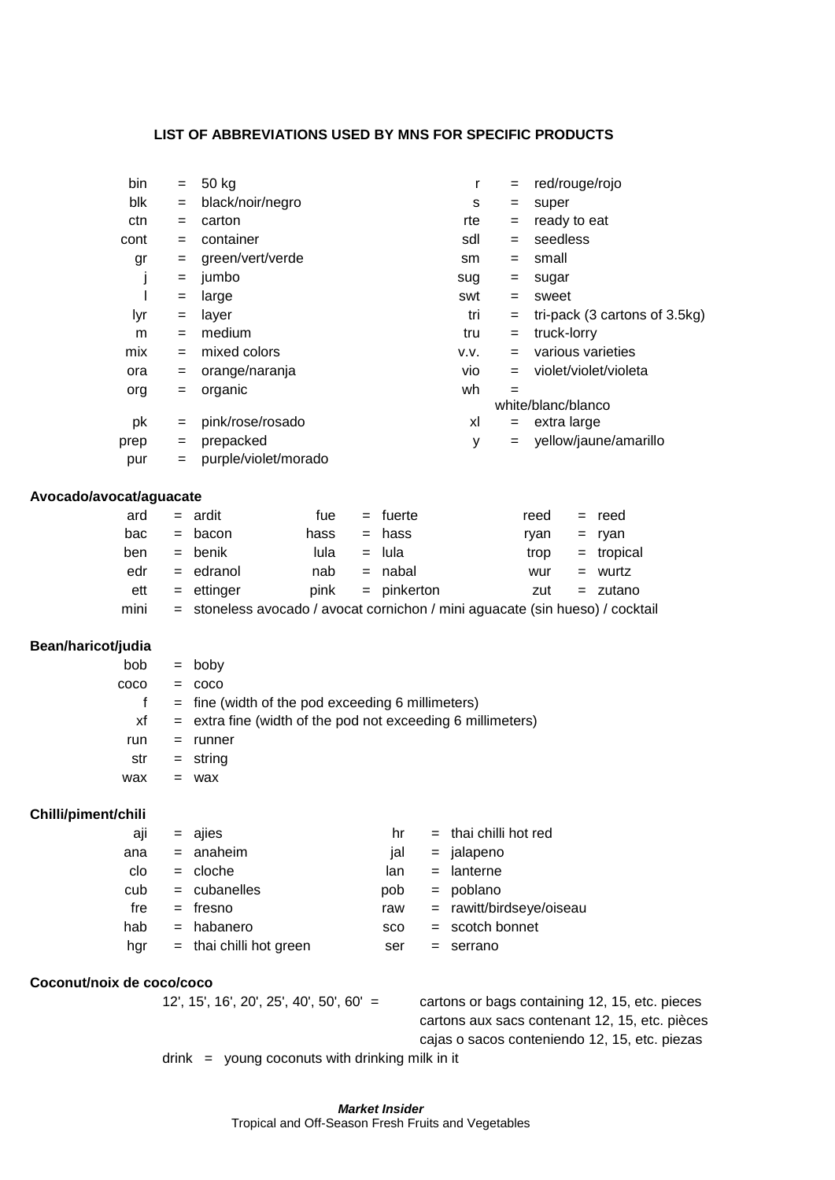#### **LIST OF ABBREVIATIONS USED BY MNS FOR SPECIFIC PRODUCTS**

| bin                       | $=$ | 50 kg                                                                         |      |     |               |     | r                       | $=$                    |                    |     | red/rouge/rojo                                 |  |
|---------------------------|-----|-------------------------------------------------------------------------------|------|-----|---------------|-----|-------------------------|------------------------|--------------------|-----|------------------------------------------------|--|
| blk                       | $=$ | black/noir/negro                                                              |      |     |               |     | s                       | $=$                    | super              |     |                                                |  |
| ctn                       | =   | carton                                                                        |      |     |               |     | rte                     | $=$                    | ready to eat       |     |                                                |  |
| cont                      | $=$ | container                                                                     |      |     |               |     | sdl                     | $=$                    | seedless           |     |                                                |  |
| gr                        | =   | green/vert/verde                                                              |      |     |               |     | sm                      | $=$                    | small              |     |                                                |  |
| J                         | =   | jumbo                                                                         |      |     |               |     | sug                     | $=$                    | sugar              |     |                                                |  |
| I                         | $=$ | large                                                                         |      |     |               |     | swt                     | $=$                    | sweet              |     |                                                |  |
| lyr                       | =   | layer                                                                         |      |     |               |     | tri                     | $=$                    |                    |     | tri-pack (3 cartons of 3.5kg)                  |  |
| m                         | =   | medium                                                                        |      |     |               |     | tru                     | $=$                    | truck-lorry        |     |                                                |  |
| mix                       | $=$ | mixed colors                                                                  |      |     |               |     | V.V.                    | $=$                    |                    |     | various varieties                              |  |
| ora                       | =   | orange/naranja                                                                |      |     |               |     | vio                     | $=$                    |                    |     | violet/violet/violeta                          |  |
| org                       | =   | organic                                                                       |      |     |               |     | wh                      | $=$                    |                    |     |                                                |  |
|                           |     |                                                                               |      |     |               |     |                         |                        | white/blanc/blanco |     |                                                |  |
| pk                        | =   | pink/rose/rosado                                                              |      |     |               |     | xl                      | $=$                    | extra large        |     |                                                |  |
| prep                      | =   | prepacked                                                                     |      |     |               |     | y                       | $=$                    |                    |     | yellow/jaune/amarillo                          |  |
| pur                       | $=$ | purple/violet/morado                                                          |      |     |               |     |                         |                        |                    |     |                                                |  |
| Avocado/avocat/aguacate   |     |                                                                               |      |     |               |     |                         |                        |                    |     |                                                |  |
| ard                       |     | $=$ ardit                                                                     | fue  | $=$ | fuerte        |     |                         |                        | reed               | $=$ | reed                                           |  |
| bac                       | $=$ | bacon                                                                         | hass |     | hass          |     |                         |                        | ryan               | $=$ | ryan                                           |  |
| ben                       | $=$ | benik                                                                         | lula | $=$ | lula          |     |                         |                        | trop               | $=$ | tropical                                       |  |
| edr                       | $=$ | edranol                                                                       | nab  | $=$ | nabal         |     |                         |                        | wur                | $=$ | wurtz                                          |  |
| ett                       | $=$ | ettinger                                                                      | pink |     | $=$ pinkerton |     |                         |                        | zut                |     | $=$ zutano                                     |  |
| mini                      |     | = stoneless avocado / avocat cornichon / mini aguacate (sin hueso) / cocktail |      |     |               |     |                         |                        |                    |     |                                                |  |
|                           |     |                                                                               |      |     |               |     |                         |                        |                    |     |                                                |  |
| Bean/haricot/judia        |     |                                                                               |      |     |               |     |                         |                        |                    |     |                                                |  |
| bob                       |     | $=$ boby                                                                      |      |     |               |     |                         |                        |                    |     |                                                |  |
| coco                      | $=$ | coco                                                                          |      |     |               |     |                         |                        |                    |     |                                                |  |
| f                         | $=$ | fine (width of the pod exceeding 6 millimeters)                               |      |     |               |     |                         |                        |                    |     |                                                |  |
| xf                        | $=$ | extra fine (width of the pod not exceeding 6 millimeters)                     |      |     |               |     |                         |                        |                    |     |                                                |  |
| run                       | $=$ | runner                                                                        |      |     |               |     |                         |                        |                    |     |                                                |  |
| str                       | =   | string                                                                        |      |     |               |     |                         |                        |                    |     |                                                |  |
| wax                       | $=$ | wax                                                                           |      |     |               |     |                         |                        |                    |     |                                                |  |
|                           |     |                                                                               |      |     |               |     |                         |                        |                    |     |                                                |  |
| Chilli/piment/chili       |     |                                                                               |      |     |               |     |                         |                        |                    |     |                                                |  |
| aji                       |     | $=$ ajies                                                                     |      |     | hr            |     | $=$ thai chilli hot red |                        |                    |     |                                                |  |
| ana                       | $=$ | anaheim                                                                       |      |     | jal           | $=$ | jalapeno                |                        |                    |     |                                                |  |
| clo                       | $=$ | cloche                                                                        |      |     | lan.          | $=$ | lanterne                |                        |                    |     |                                                |  |
| cub                       | $=$ | cubanelles                                                                    |      |     | pob           | $=$ | poblano                 |                        |                    |     |                                                |  |
| fre                       |     | = fresno                                                                      |      |     | raw           | $=$ |                         | rawitt/birdseye/oiseau |                    |     |                                                |  |
| hab                       |     | $=$ habanero                                                                  |      |     | sco           |     | = scotch bonnet         |                        |                    |     |                                                |  |
| hgr                       |     | $=$ thai chilli hot green                                                     |      |     | ser           | $=$ | serrano                 |                        |                    |     |                                                |  |
| Coconut/noix de coco/coco |     |                                                                               |      |     |               |     |                         |                        |                    |     |                                                |  |
|                           |     | $12'$ , $15'$ , $16'$ , $20'$ , $25'$ , $40'$ , $50'$ , $60' =$               |      |     |               |     |                         |                        |                    |     | cartons or bags containing 12, 15, etc. pieces |  |
|                           |     |                                                                               |      |     |               |     |                         |                        |                    |     | cartons aux sacs contenant 12, 15, etc. pièces |  |
|                           |     |                                                                               |      |     |               |     |                         |                        |                    |     | cajas o sacos conteniendo 12, 15, etc. piezas  |  |
|                           |     |                                                                               |      |     |               |     |                         |                        |                    |     |                                                |  |

 $drink =$  young coconuts with drinking milk in it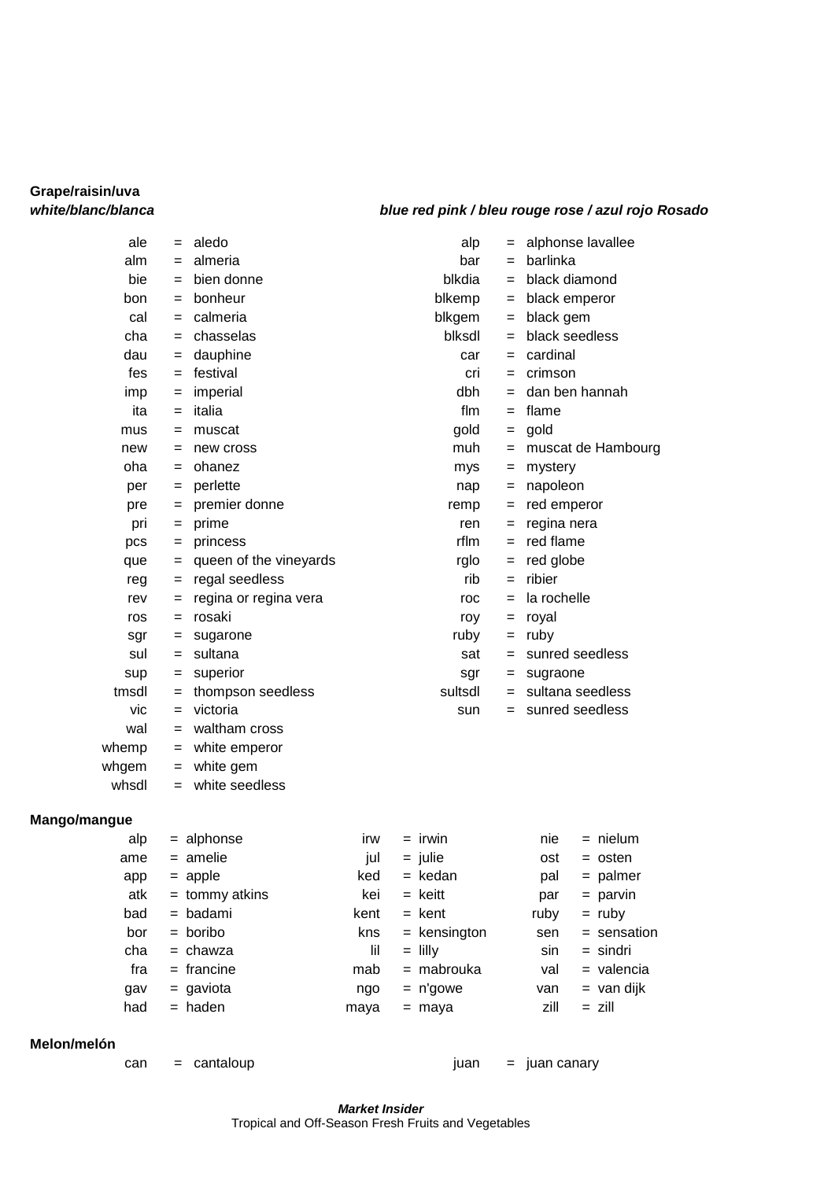# **Grape/raisin/uva**

#### *white/blanc/blanca blue red pink / bleu rouge rose / azul rojo Rosado*

| ale          | $=$ | aledo                  |     | alp       | $=$ | alphonse lavallee  |
|--------------|-----|------------------------|-----|-----------|-----|--------------------|
| alm          | $=$ | almeria                |     | bar       | $=$ | barlinka           |
| bie          | $=$ | bien donne             |     | blkdia    | $=$ | black diamond      |
| bon          | $=$ | bonheur                |     | blkemp    | $=$ | black emperor      |
| cal          | $=$ | calmeria               |     | blkgem    | $=$ | black gem          |
| cha          | $=$ | chasselas              |     | blksdl    | $=$ | black seedless     |
| dau          | $=$ | dauphine               |     | car       | $=$ | cardinal           |
| fes          |     | $=$ festival           |     | cri       | $=$ | crimson            |
| imp          | $=$ | imperial               |     | dbh       | $=$ | dan ben hannah     |
| ita          | $=$ | italia                 |     | flm       | $=$ | flame              |
| mus          | $=$ | muscat                 |     | gold      | $=$ | gold               |
| new          | $=$ | new cross              |     | muh       | $=$ | muscat de Hambourg |
| oha          | $=$ | ohanez                 |     | mys       | $=$ | mystery            |
| per          | $=$ | perlette               |     | nap       | $=$ | napoleon           |
| pre          | $=$ | premier donne          |     | remp      | $=$ | red emperor        |
| pri          | $=$ | prime                  |     | ren       | $=$ | regina nera        |
| pcs          | $=$ | princess               |     | rflm      | $=$ | red flame          |
| que          | $=$ | queen of the vineyards |     | rglo      | $=$ | red globe          |
| reg          | =   | regal seedless         |     | rib       | $=$ | ribier             |
| rev          | $=$ | regina or regina vera  |     | roc       | $=$ | la rochelle        |
| ros          | $=$ | rosaki                 |     | roy       | $=$ | royal              |
| sgr          | $=$ | sugarone               |     | ruby      | $=$ | ruby               |
| sul          | $=$ | sultana                |     | sat       | $=$ | sunred seedless    |
| sup          | $=$ | superior               |     | sgr       | $=$ | sugraone           |
| tmsdl        | $=$ | thompson seedless      |     | sultsdl   | $=$ | sultana seedless   |
| vic          | $=$ | victoria               |     | sun       | $=$ | sunred seedless    |
| wal          | $=$ | waltham cross          |     |           |     |                    |
| whemp        | $=$ | white emperor          |     |           |     |                    |
| whgem        | $=$ | white gem              |     |           |     |                    |
| whsdl        |     | = white seedless       |     |           |     |                    |
| Mango/mangue |     |                        |     |           |     |                    |
| alp          |     | $=$ alphonse           | irw | $=$ irwin |     | nie<br>= nielum    |
| ame          |     | $=$ amelie             | jul | $=$ julie |     | ost<br>= osten     |
| app          |     | $=$ apple              | ked | = kedan   |     | $=$ palmer<br>pal  |
| atk          |     | $=$ tommy atkins       | kei | = keitt   |     | = parvin<br>par    |

| ran | cantalo |
|-----|---------|

**Melon/melón**

can = cantaloup different can = juan canary

bad = badami kent = kent ruby = ruby bor = boribo kns = kensington sen = sensation  $cha = chawza$   $\qquad$   $\qquad$   $\qquad$   $\qquad$   $\qquad$   $\qquad$   $\qquad$   $\qquad$   $\qquad$   $\qquad$   $\qquad$   $\qquad$   $\qquad$   $\qquad$   $\qquad$   $\qquad$   $\qquad$   $\qquad$   $\qquad$   $\qquad$   $\qquad$   $\qquad$   $\qquad$   $\qquad$   $\qquad$   $\qquad$   $\qquad$   $\qquad$   $\qquad$   $\qquad$   $\qquad$   $\qquad$   $\qquad$   $\qquad$   $\qquad$   $\q$ fra = francine mab = mabrouka val = valencia  $gav = gaviota$  100 mgo = n'gowe van = van dijk had = haden maya = maya zill = zill